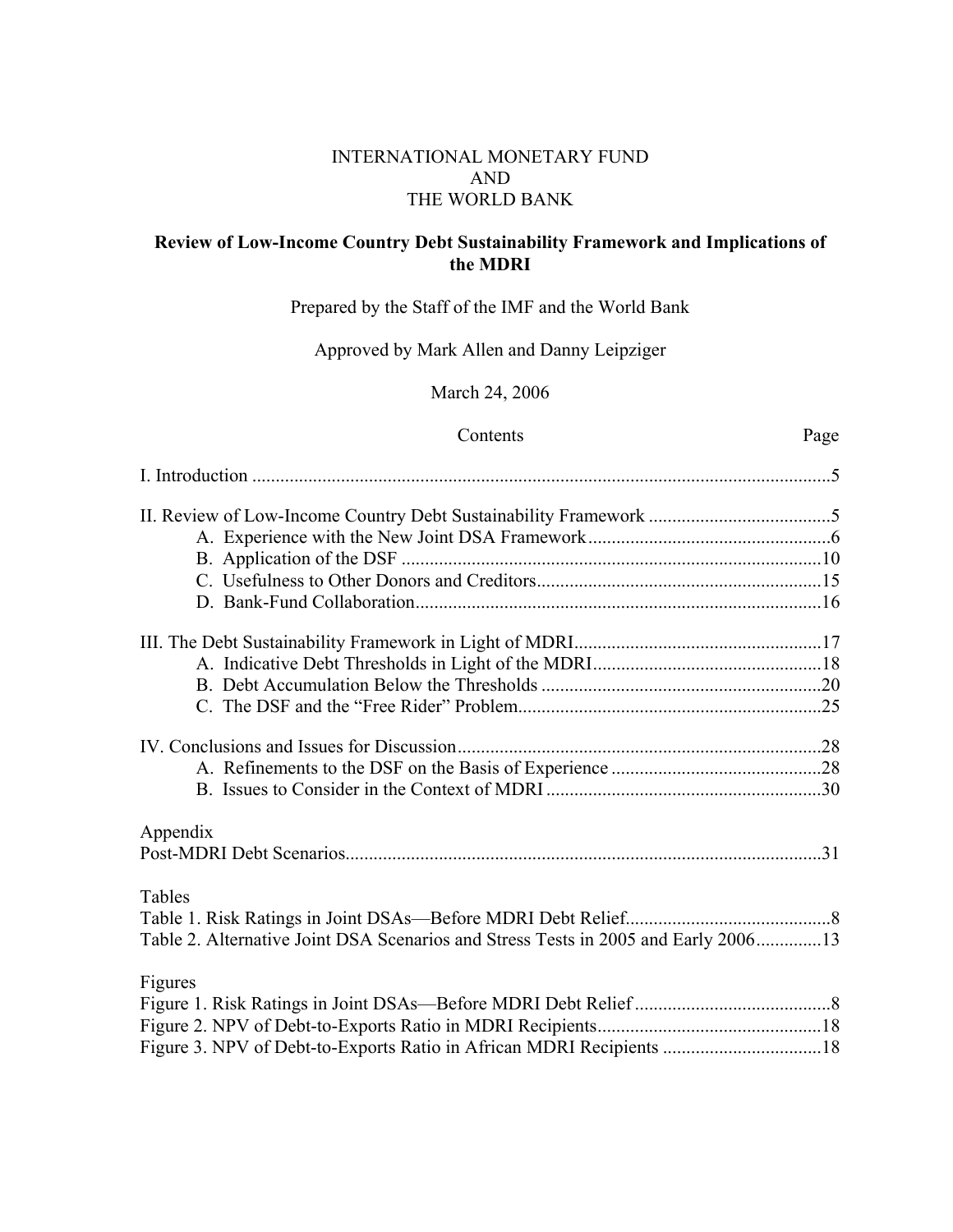## INTERNATIONAL MONETARY FUND AND THE WORLD BANK

## **Review of Low-Income Country Debt Sustainability Framework and Implications of the MDRI**

## Prepared by the Staff of the IMF and the World Bank

## Approved by Mark Allen and Danny Leipziger

## March 24, 2006

### Contents Page

| Appendix                                                                           |  |
|------------------------------------------------------------------------------------|--|
|                                                                                    |  |
| Tables                                                                             |  |
|                                                                                    |  |
| Table 2. Alternative Joint DSA Scenarios and Stress Tests in 2005 and Early 200613 |  |
| Figures                                                                            |  |
|                                                                                    |  |
|                                                                                    |  |
|                                                                                    |  |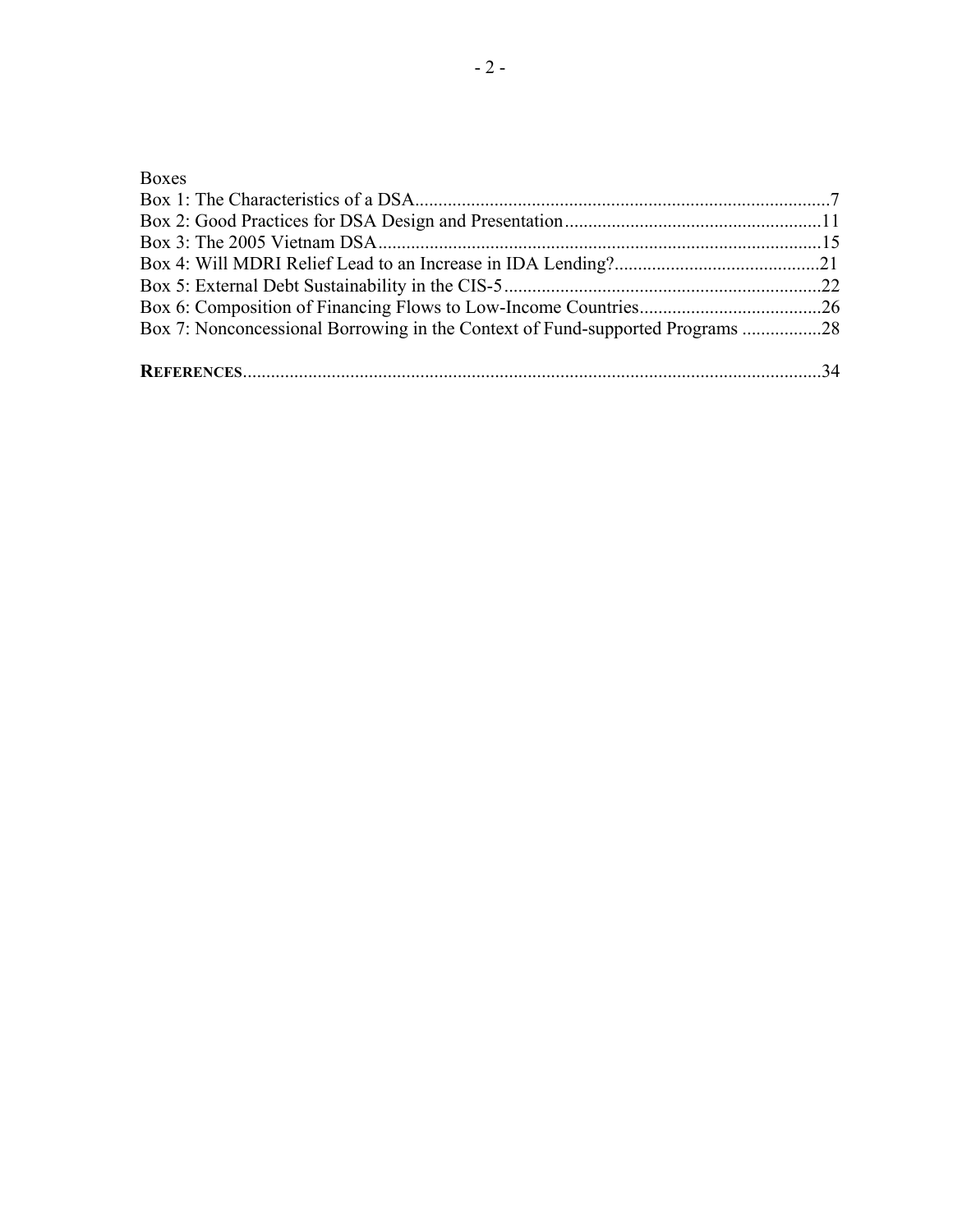## Boxes

| Box 7: Nonconcessional Borrowing in the Context of Fund-supported Programs 28 |  |
|-------------------------------------------------------------------------------|--|
|                                                                               |  |
|                                                                               |  |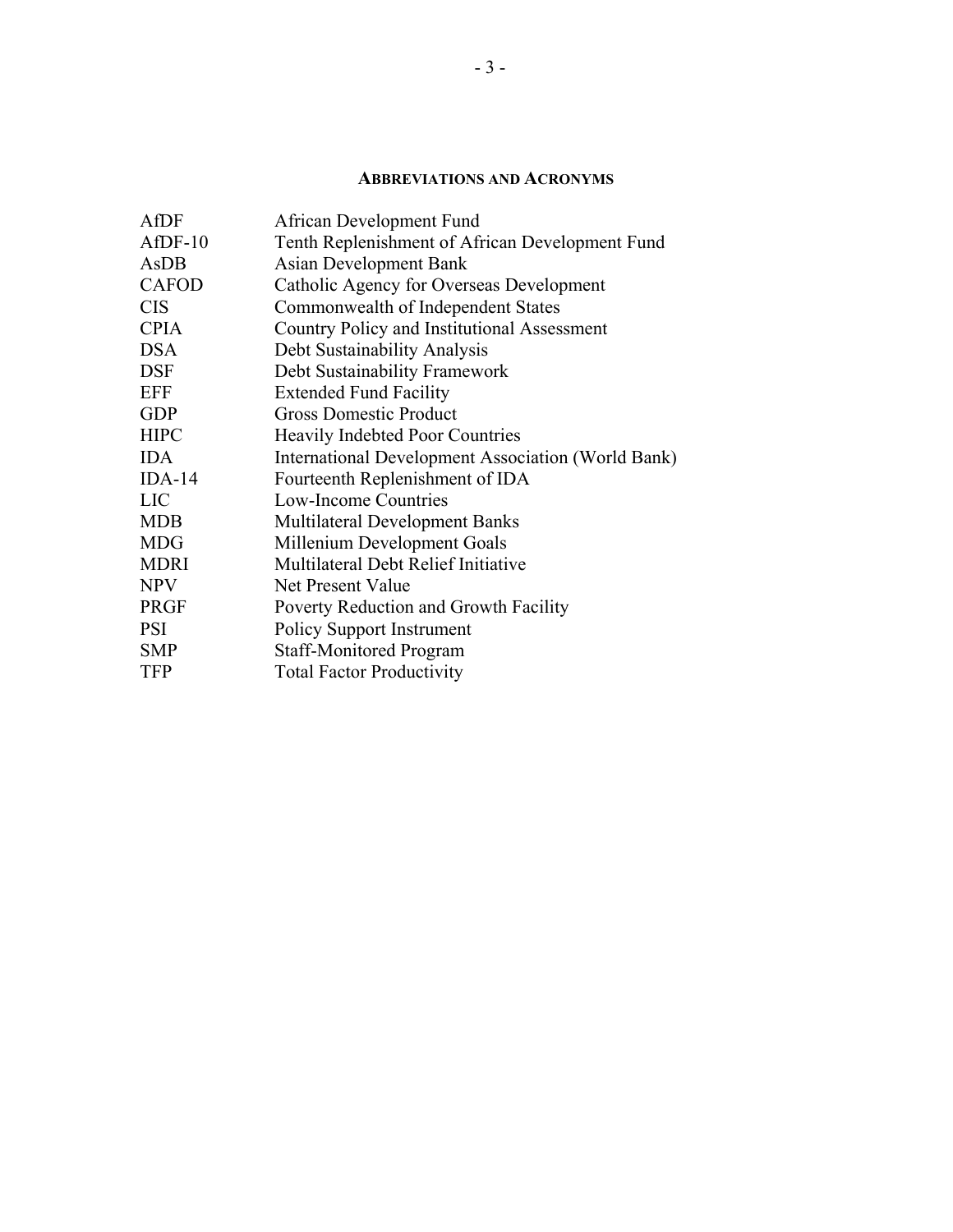### **ABBREVIATIONS AND ACRONYMS**

| AfDF          | African Development Fund                           |
|---------------|----------------------------------------------------|
| $A$ f $DF-10$ | Tenth Replenishment of African Development Fund    |
| AsDB          | <b>Asian Development Bank</b>                      |
| <b>CAFOD</b>  | Catholic Agency for Overseas Development           |
| <b>CIS</b>    | Commonwealth of Independent States                 |
| <b>CPIA</b>   | Country Policy and Institutional Assessment        |
| <b>DSA</b>    | Debt Sustainability Analysis                       |
| <b>DSF</b>    | Debt Sustainability Framework                      |
| <b>EFF</b>    | <b>Extended Fund Facility</b>                      |
| <b>GDP</b>    | <b>Gross Domestic Product</b>                      |
| <b>HIPC</b>   | <b>Heavily Indebted Poor Countries</b>             |
| <b>IDA</b>    | International Development Association (World Bank) |
| $IDA-14$      | Fourteenth Replenishment of IDA                    |
| <b>LIC</b>    | Low-Income Countries                               |
| <b>MDB</b>    | <b>Multilateral Development Banks</b>              |
| <b>MDG</b>    | Millenium Development Goals                        |
| <b>MDRI</b>   | Multilateral Debt Relief Initiative                |
| <b>NPV</b>    | Net Present Value                                  |
| <b>PRGF</b>   | Poverty Reduction and Growth Facility              |
| <b>PSI</b>    | <b>Policy Support Instrument</b>                   |
| <b>SMP</b>    | <b>Staff-Monitored Program</b>                     |
| <b>TFP</b>    | <b>Total Factor Productivity</b>                   |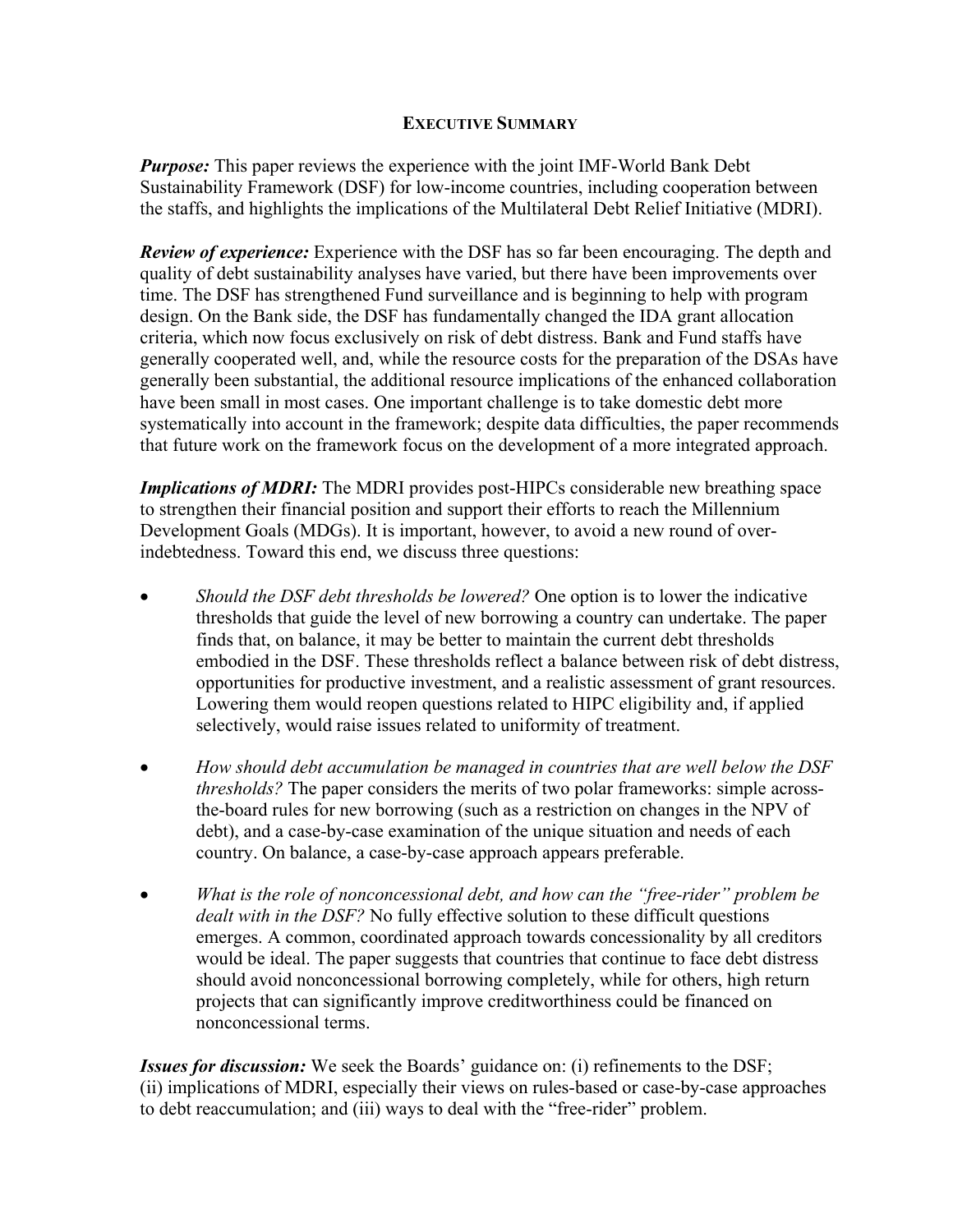## **EXECUTIVE SUMMARY**

*Purpose:* This paper reviews the experience with the joint IMF-World Bank Debt Sustainability Framework (DSF) for low-income countries, including cooperation between the staffs, and highlights the implications of the Multilateral Debt Relief Initiative (MDRI).

*Review of experience:* Experience with the DSF has so far been encouraging. The depth and quality of debt sustainability analyses have varied, but there have been improvements over time. The DSF has strengthened Fund surveillance and is beginning to help with program design. On the Bank side, the DSF has fundamentally changed the IDA grant allocation criteria, which now focus exclusively on risk of debt distress. Bank and Fund staffs have generally cooperated well, and, while the resource costs for the preparation of the DSAs have generally been substantial, the additional resource implications of the enhanced collaboration have been small in most cases. One important challenge is to take domestic debt more systematically into account in the framework; despite data difficulties, the paper recommends that future work on the framework focus on the development of a more integrated approach.

*Implications of MDRI:* The MDRI provides post-HIPCs considerable new breathing space to strengthen their financial position and support their efforts to reach the Millennium Development Goals (MDGs). It is important, however, to avoid a new round of overindebtedness. Toward this end, we discuss three questions:

- *Should the DSF debt thresholds be lowered?* One option is to lower the indicative thresholds that guide the level of new borrowing a country can undertake. The paper finds that, on balance, it may be better to maintain the current debt thresholds embodied in the DSF. These thresholds reflect a balance between risk of debt distress, opportunities for productive investment, and a realistic assessment of grant resources. Lowering them would reopen questions related to HIPC eligibility and, if applied selectively, would raise issues related to uniformity of treatment.
- *How should debt accumulation be managed in countries that are well below the DSF thresholds?* The paper considers the merits of two polar frameworks: simple acrossthe-board rules for new borrowing (such as a restriction on changes in the NPV of debt), and a case-by-case examination of the unique situation and needs of each country. On balance, a case-by-case approach appears preferable.
- *What is the role of nonconcessional debt, and how can the "free-rider" problem be dealt with in the DSF?* No fully effective solution to these difficult questions emerges. A common, coordinated approach towards concessionality by all creditors would be ideal. The paper suggests that countries that continue to face debt distress should avoid nonconcessional borrowing completely, while for others, high return projects that can significantly improve creditworthiness could be financed on nonconcessional terms.

*Issues for discussion:* We seek the Boards' guidance on: (i) refinements to the DSF; (ii) implications of MDRI, especially their views on rules-based or case-by-case approaches to debt reaccumulation; and (iii) ways to deal with the "free-rider" problem.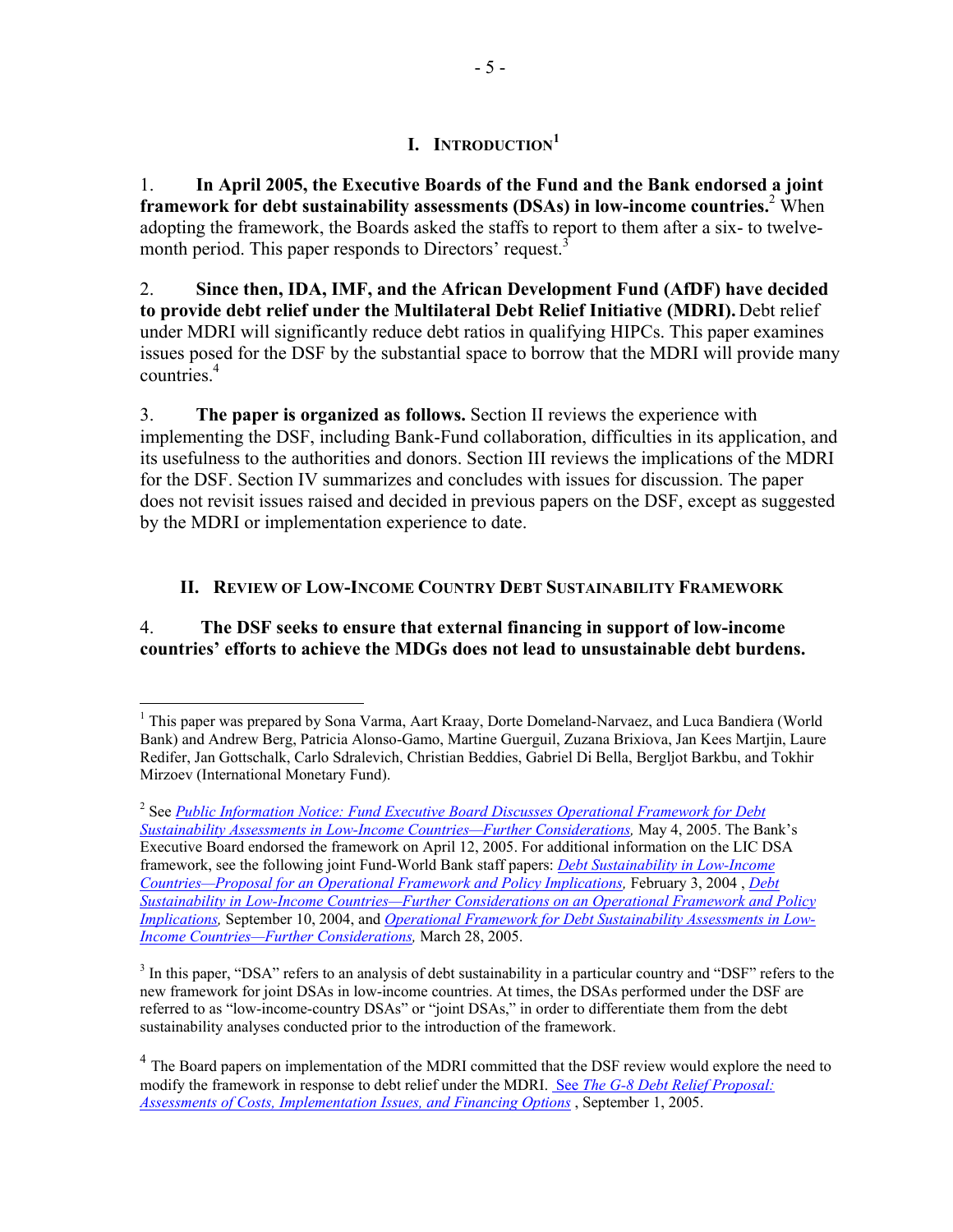1. **In April 2005, the Executive Boards of the Fund and the Bank endorsed a joint framework for debt sustainability assessments (DSAs) in low-income countries.**<sup>2</sup> When adopting the framework, the Boards asked the staffs to report to them after a six- to twelvemonth period. This paper responds to Directors' request.<sup>3</sup>

2. **Since then, IDA, IMF, and the African Development Fund (AfDF) have decided to provide debt relief under the Multilateral Debt Relief Initiative (MDRI).** Debt relief under MDRI will significantly reduce debt ratios in qualifying HIPCs. This paper examines issues posed for the DSF by the substantial space to borrow that the MDRI will provide many countries.4

3. **The paper is organized as follows.** Section II reviews the experience with implementing the DSF, including Bank-Fund collaboration, difficulties in its application, and its usefulness to the authorities and donors. Section III reviews the implications of the MDRI for the DSF. Section IV summarizes and concludes with issues for discussion. The paper does not revisit issues raised and decided in previous papers on the DSF, except as suggested by the MDRI or implementation experience to date.

## **II. REVIEW OF LOW-INCOME COUNTRY DEBT SUSTAINABILITY FRAMEWORK**

## 4. **The DSF seeks to ensure that external financing in support of low-income countries' efforts to achieve the MDGs does not lead to unsustainable debt burdens.**

1

<sup>&</sup>lt;sup>1</sup> This paper was prepared by Sona Varma, Aart Kraay, Dorte Domeland-Narvaez, and Luca Bandiera (World Bank) and Andrew Berg, Patricia Alonso-Gamo, Martine Guerguil, Zuzana Brixiova, Jan Kees Martjin, Laure Redifer, Jan Gottschalk, Carlo Sdralevich, Christian Beddies, Gabriel Di Bella, Bergljot Barkbu, and Tokhir Mirzoev (International Monetary Fund).

<sup>2</sup> See *[Public Information Notice: Fund Executive Board Discusses Operational Framework for Debt](http://www.imf.org/external/np/sec/pn/2005/pn0559.htm)  [Sustainability Assessments in Low-Income Countries—Further Considerations,](http://www.imf.org/external/np/sec/pn/2005/pn0559.htm)* May 4, 2005. The Bank's Executive Board endorsed the framework on April 12, 2005. For additional information on the LIC DSA framework, see the following joint Fund-World Bank staff papers: *[Debt Sustainability in Low-Income](http://www.imf.org/external/np/pdr/sustain/2004/020304.pdf)  [Countries—Proposal for an Operational](http://www.imf.org/external/np/pdr/sustain/2004/020304.pdf) Framework and Policy Implications,* February 3, 2004 , *Debt [Sustainability in Low-Income Countries—Further Considerations on an Operational Framework and Policy](http://www.imf.org/external/np/pdr/sustain/2004/091004.pdf)  [Implications,](http://www.imf.org/external/np/pdr/sustain/2004/091004.pdf)* September 10, 2004, and *[Operational Framework for Debt Sustainability Assessments in Low-](http://www.imf.org/external/pp/longres.aspx?id=412)[Income Countries—Further Considerations,](http://www.imf.org/external/pp/longres.aspx?id=412)* March 28, 2005.

<sup>&</sup>lt;sup>3</sup> In this paper, "DSA" refers to an analysis of debt sustainability in a particular country and "DSF" refers to the new framework for joint DSAs in low-income countries. At times, the DSAs performed under the DSF are referred to as "low-income-country DSAs" or "joint DSAs," in order to differentiate them from the debt sustainability analyses conducted prior to the introduction of the framework.

<sup>&</sup>lt;sup>4</sup> The Board papers on implementation of the MDRI committed that the DSF review would explore the need to modify the framework in response to debt relief under the MDRI. See *[The G-8 Debt Relief Proposal:](http://www-wds.worldbank.org/external/default/main?pagePK=64193027&piPK=64187937&theSitePK=523679&menuPK=64187510&searchMenuPK=64187511&theSitePK=523679&entityID=000012009_20050913091603&searchMenuPK=64187511&theSitePK=523679)  [Assessments of Costs, Implementation Issues, and Financing Options](http://www-wds.worldbank.org/external/default/main?pagePK=64193027&piPK=64187937&theSitePK=523679&menuPK=64187510&searchMenuPK=64187511&theSitePK=523679&entityID=000012009_20050913091603&searchMenuPK=64187511&theSitePK=523679)* , September 1, 2005.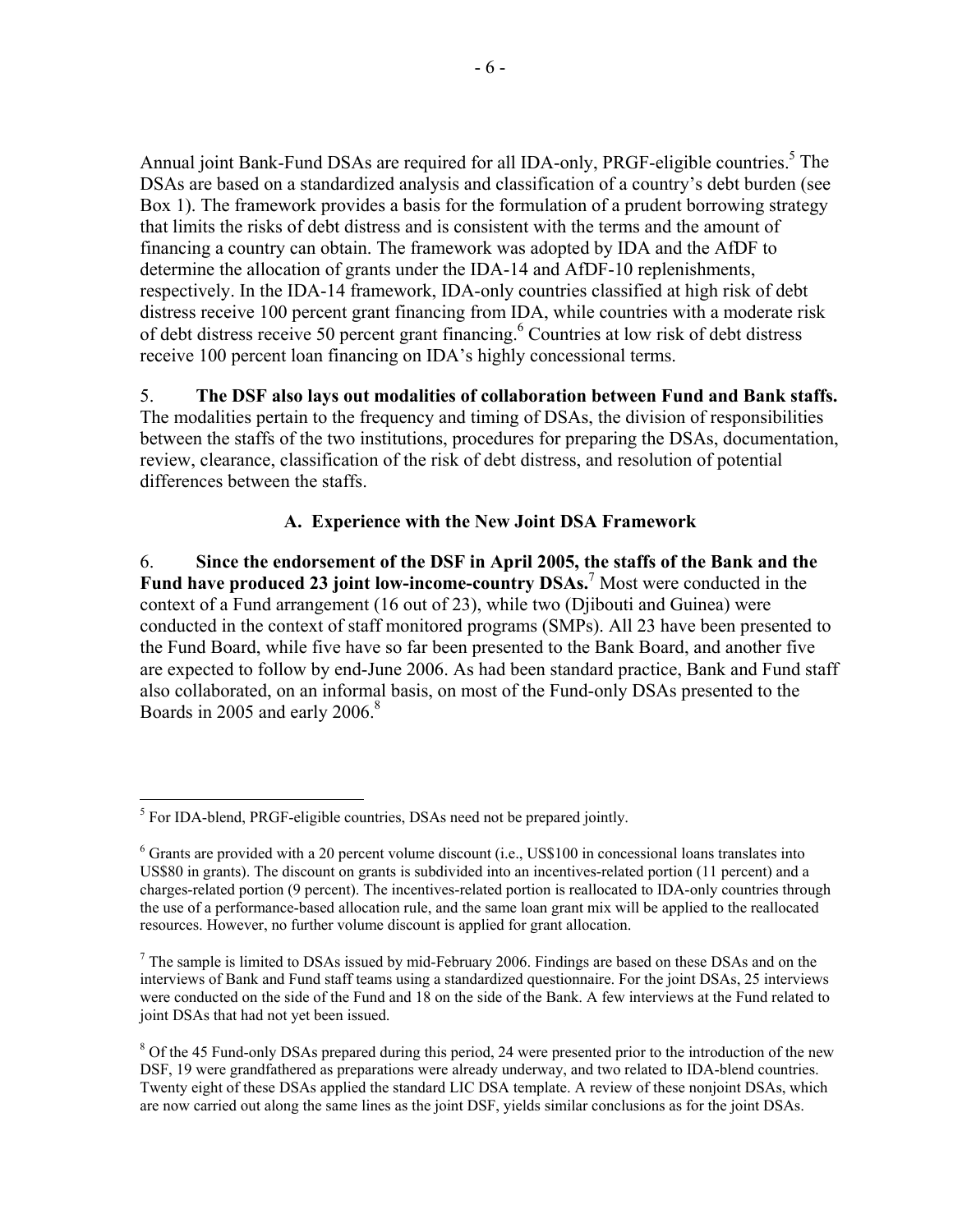Annual joint Bank-Fund DSAs are required for all IDA-only, PRGF-eligible countries.<sup>5</sup> The DSAs are based on a standardized analysis and classification of a country's debt burden (see Box 1). The framework provides a basis for the formulation of a prudent borrowing strategy that limits the risks of debt distress and is consistent with the terms and the amount of financing a country can obtain. The framework was adopted by IDA and the AfDF to determine the allocation of grants under the IDA-14 and AfDF-10 replenishments, respectively. In the IDA-14 framework, IDA-only countries classified at high risk of debt distress receive 100 percent grant financing from IDA, while countries with a moderate risk of debt distress receive 50 percent grant financing.<sup>6</sup> Countries at low risk of debt distress receive 100 percent loan financing on IDA's highly concessional terms.

5. **The DSF also lays out modalities of collaboration between Fund and Bank staffs.**  The modalities pertain to the frequency and timing of DSAs, the division of responsibilities between the staffs of the two institutions, procedures for preparing the DSAs, documentation, review, clearance, classification of the risk of debt distress, and resolution of potential differences between the staffs.

## **A. Experience with the New Joint DSA Framework**

6. **Since the endorsement of the DSF in April 2005, the staffs of the Bank and the Fund have produced 23 joint low-income-country DSAs.**<sup>7</sup> Most were conducted in the context of a Fund arrangement (16 out of 23), while two (Djibouti and Guinea) were conducted in the context of staff monitored programs (SMPs). All 23 have been presented to the Fund Board, while five have so far been presented to the Bank Board, and another five are expected to follow by end-June 2006. As had been standard practice, Bank and Fund staff also collaborated, on an informal basis, on most of the Fund-only DSAs presented to the Boards in 2005 and early 2006.<sup>8</sup>

 5 For IDA-blend, PRGF-eligible countries, DSAs need not be prepared jointly.

<sup>&</sup>lt;sup>6</sup> Grants are provided with a 20 percent volume discount (i.e., US\$100 in concessional loans translates into US\$80 in grants). The discount on grants is subdivided into an incentives-related portion (11 percent) and a charges-related portion (9 percent). The incentives-related portion is reallocated to IDA-only countries through the use of a performance-based allocation rule, and the same loan grant mix will be applied to the reallocated resources. However, no further volume discount is applied for grant allocation.

 $<sup>7</sup>$  The sample is limited to DSAs issued by mid-February 2006. Findings are based on these DSAs and on the</sup> interviews of Bank and Fund staff teams using a standardized questionnaire. For the joint DSAs, 25 interviews were conducted on the side of the Fund and 18 on the side of the Bank. A few interviews at the Fund related to joint DSAs that had not yet been issued.

<sup>&</sup>lt;sup>8</sup> Of the 45 Fund-only DSAs prepared during this period, 24 were presented prior to the introduction of the new DSF, 19 were grandfathered as preparations were already underway, and two related to IDA-blend countries. Twenty eight of these DSAs applied the standard LIC DSA template. A review of these nonjoint DSAs, which are now carried out along the same lines as the joint DSF, yields similar conclusions as for the joint DSAs.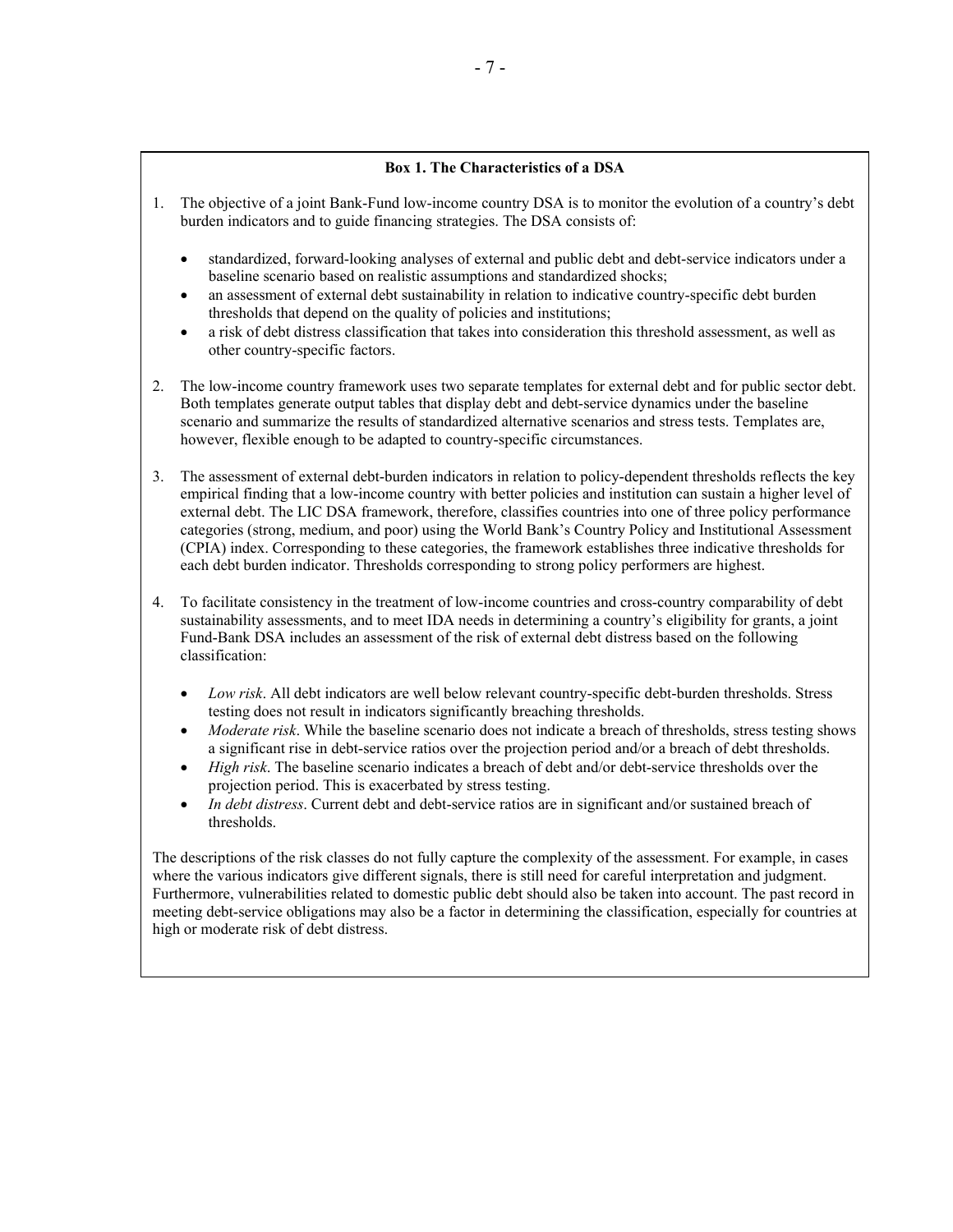### **Box 1. The Characteristics of a DSA**

- 1. The objective of a joint Bank-Fund low-income country DSA is to monitor the evolution of a country's debt burden indicators and to guide financing strategies. The DSA consists of:
	- standardized, forward-looking analyses of external and public debt and debt-service indicators under a baseline scenario based on realistic assumptions and standardized shocks;
	- an assessment of external debt sustainability in relation to indicative country-specific debt burden thresholds that depend on the quality of policies and institutions;
	- a risk of debt distress classification that takes into consideration this threshold assessment, as well as other country-specific factors.
- 2. The low-income country framework uses two separate templates for external debt and for public sector debt. Both templates generate output tables that display debt and debt-service dynamics under the baseline scenario and summarize the results of standardized alternative scenarios and stress tests. Templates are, however, flexible enough to be adapted to country-specific circumstances.
- 3. The assessment of external debt-burden indicators in relation to policy-dependent thresholds reflects the key empirical finding that a low-income country with better policies and institution can sustain a higher level of external debt. The LIC DSA framework, therefore, classifies countries into one of three policy performance categories (strong, medium, and poor) using the World Bank's Country Policy and Institutional Assessment (CPIA) index. Corresponding to these categories, the framework establishes three indicative thresholds for each debt burden indicator. Thresholds corresponding to strong policy performers are highest.
- 4. To facilitate consistency in the treatment of low-income countries and cross-country comparability of debt sustainability assessments, and to meet IDA needs in determining a country's eligibility for grants, a joint Fund-Bank DSA includes an assessment of the risk of external debt distress based on the following classification:
	- *Low risk*. All debt indicators are well below relevant country-specific debt-burden thresholds. Stress testing does not result in indicators significantly breaching thresholds.
	- *Moderate risk*. While the baseline scenario does not indicate a breach of thresholds, stress testing shows a significant rise in debt-service ratios over the projection period and/or a breach of debt thresholds.
	- *High risk*. The baseline scenario indicates a breach of debt and/or debt-service thresholds over the projection period. This is exacerbated by stress testing.
	- In debt distress. Current debt and debt-service ratios are in significant and/or sustained breach of thresholds.

The descriptions of the risk classes do not fully capture the complexity of the assessment. For example, in cases where the various indicators give different signals, there is still need for careful interpretation and judgment. Furthermore, vulnerabilities related to domestic public debt should also be taken into account. The past record in meeting debt-service obligations may also be a factor in determining the classification, especially for countries at high or moderate risk of debt distress.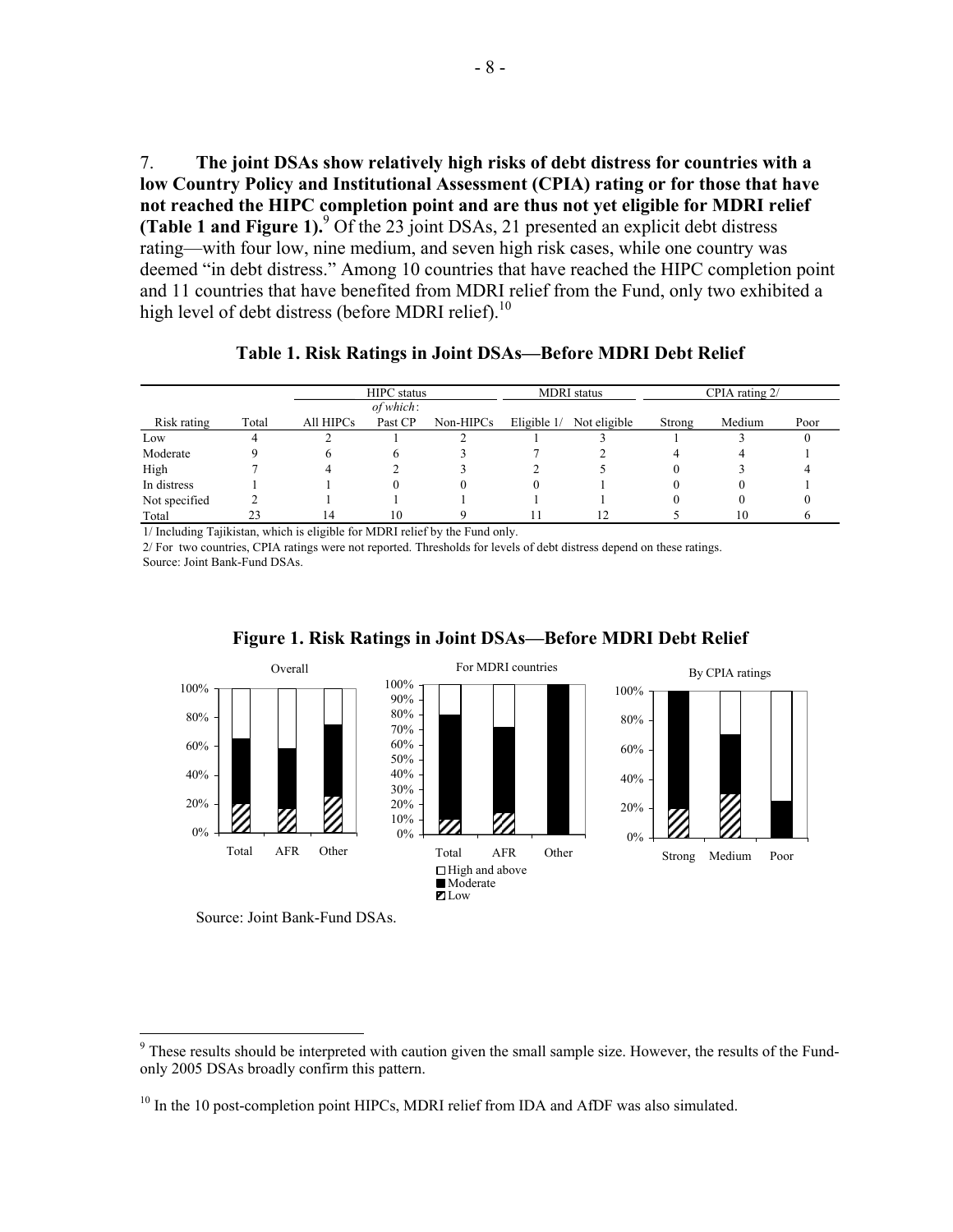7. **The joint DSAs show relatively high risks of debt distress for countries with a low Country Policy and Institutional Assessment (CPIA) rating or for those that have not reached the HIPC completion point and are thus not yet eligible for MDRI relief (Table 1 and Figure 1).**<sup>9</sup> Of the 23 joint DSAs, 21 presented an explicit debt distress rating—with four low, nine medium, and seven high risk cases, while one country was deemed "in debt distress." Among 10 countries that have reached the HIPC completion point and 11 countries that have benefited from MDRI relief from the Fund, only two exhibited a high level of debt distress (before MDRI relief).<sup>10</sup>

|               |       | <b>HIPC</b> status |              |           | <b>MDRI</b> status |              | CPIA rating 2/ |        |      |
|---------------|-------|--------------------|--------------|-----------|--------------------|--------------|----------------|--------|------|
|               |       |                    | $of which$ : |           |                    |              |                |        |      |
| Risk rating   | Total | All HIPCs          | Past CP      | Non-HIPCs | Eligible $1/$      | Not eligible | Strong         | Medium | Poor |
| Low           | 4     |                    |              |           |                    |              |                |        |      |
| Moderate      |       | h                  | h            |           |                    |              |                |        |      |
| High          |       |                    |              |           |                    |              |                |        |      |
| In distress   |       |                    | 0            |           | 0                  |              |                |        |      |
| Not specified |       |                    |              |           |                    |              |                | $_{0}$ |      |
| Total         | 23    | 14                 | 10           |           | 11                 | 12           |                | 10     |      |

**Table 1. Risk Ratings in Joint DSAs—Before MDRI Debt Relief** 

1/ Including Tajikistan, which is eligible for MDRI relief by the Fund only.

2/ For two countries, CPIA ratings were not reported. Thresholds for levels of debt distress depend on these ratings. Source: Joint Bank-Fund DSAs.



### **Figure 1. Risk Ratings in Joint DSAs—Before MDRI Debt Relief**

 $\overline{a}$ 

<sup>&</sup>lt;sup>9</sup> These results should be interpreted with caution given the small sample size. However, the results of the Fundonly 2005 DSAs broadly confirm this pattern.

<sup>&</sup>lt;sup>10</sup> In the 10 post-completion point HIPCs, MDRI relief from IDA and AfDF was also simulated.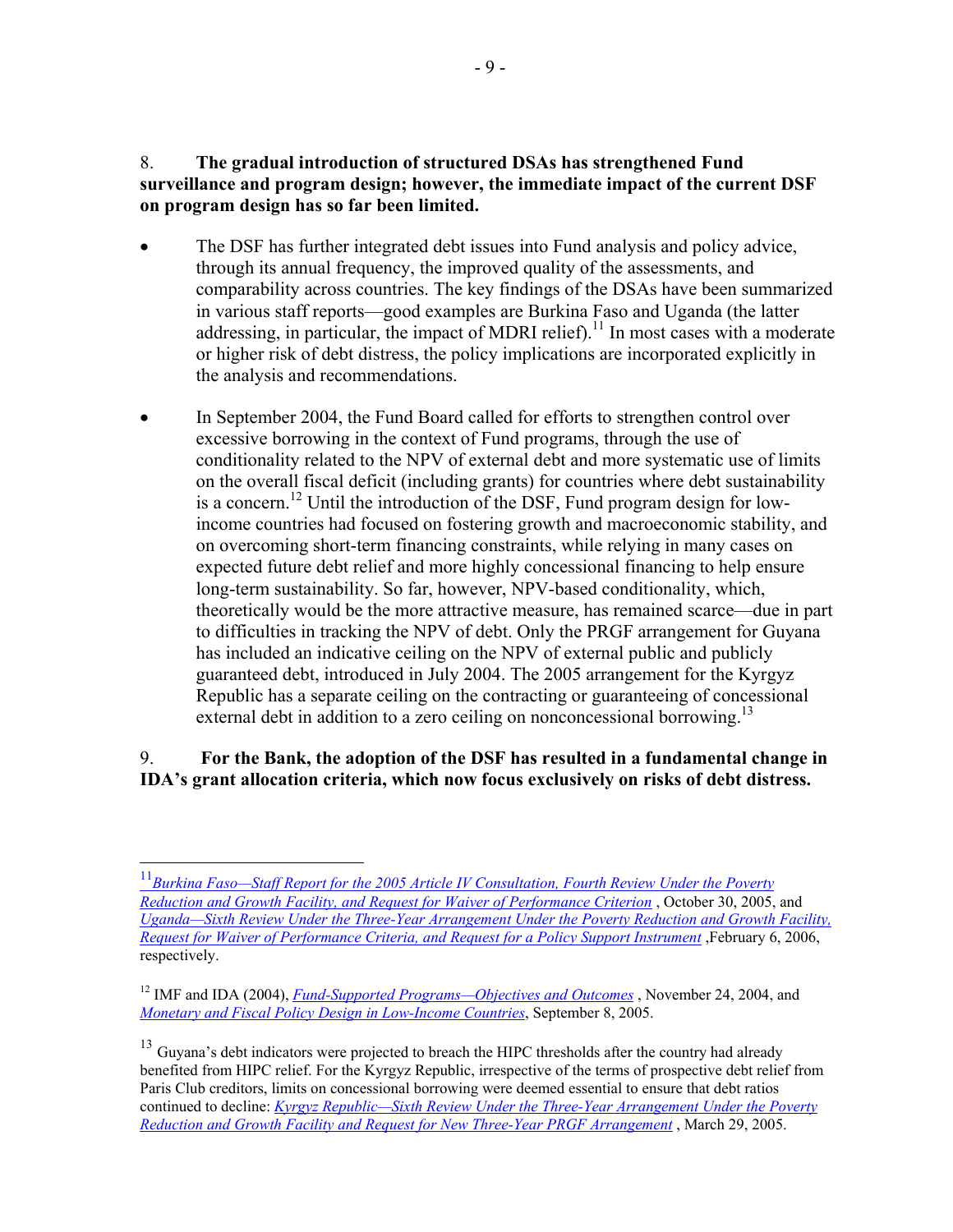## 8. **The gradual introduction of structured DSAs has strengthened Fund surveillance and program design; however, the immediate impact of the current DSF on program design has so far been limited.**

- The DSF has further integrated debt issues into Fund analysis and policy advice, through its annual frequency, the improved quality of the assessments, and comparability across countries. The key findings of the DSAs have been summarized in various staff reports—good examples are Burkina Faso and Uganda (the latter addressing, in particular, the impact of MDRI relief).<sup>11</sup> In most cases with a moderate or higher risk of debt distress, the policy implications are incorporated explicitly in the analysis and recommendations.
- In September 2004, the Fund Board called for efforts to strengthen control over excessive borrowing in the context of Fund programs, through the use of conditionality related to the NPV of external debt and more systematic use of limits on the overall fiscal deficit (including grants) for countries where debt sustainability is a concern.12 Until the introduction of the DSF, Fund program design for lowincome countries had focused on fostering growth and macroeconomic stability, and on overcoming short-term financing constraints, while relying in many cases on expected future debt relief and more highly concessional financing to help ensure long-term sustainability. So far, however, NPV-based conditionality, which, theoretically would be the more attractive measure, has remained scarce—due in part to difficulties in tracking the NPV of debt. Only the PRGF arrangement for Guyana has included an indicative ceiling on the NPV of external public and publicly guaranteed debt, introduced in July 2004. The 2005 arrangement for the Kyrgyz Republic has a separate ceiling on the contracting or guaranteeing of concessional external debt in addition to a zero ceiling on nonconcessional borrowing.<sup>13</sup>

## 9. **For the Bank, the adoption of the DSF has resulted in a fundamental change in IDA's grant allocation criteria, which now focus exclusively on risks of debt distress.**

1

<sup>11</sup>*[Burkina Faso—Staff Report for the 2005 Article IV Consultation, Fourth Review Under the Poverty](http://www.imf.org/external/pubs/cat/longres.cfm?sk=18598.0)  [Reduction and Growth Facility, and Request for Waiver of Performance Criterion](http://www.imf.org/external/pubs/cat/longres.cfm?sk=18598.0)* , October 30, 2005, and *Uganda—Sixth Review Under the Three-Year Arrangement Under the Poverty Reduction and Growth Facility, [Request for Waiver of Performance Criteria, and Request for a Policy Support Instrument](http://www.imf.org/external/pubs/cat/longres.cfm?sk=18871.0)*, February 6, 2006, respectively.

<sup>&</sup>lt;sup>12</sup> IMF and IDA (2004), *[Fund-Supported Programs—Objectives and Outcomes](http://www.imf.org/external/np/pdr/2004/eng/object.pdf)*, November 24, 2004, and *[Monetary and Fiscal Policy Design in Low-Income Countries](http://www.imf.org/external/np/pp/eng/2005/080805m.pdf)*, September 8, 2005.

<sup>&</sup>lt;sup>13</sup> Guyana's debt indicators were projected to breach the HIPC thresholds after the country had already benefited from HIPC relief. For the Kyrgyz Republic, irrespective of the terms of prospective debt relief from Paris Club creditors, limits on concessional borrowing were deemed essential to ensure that debt ratios continued to decline: *[Kyrgyz Republic—Sixth Review Under the Three-Year Arrangement Under the Poverty](http://www.imf.org/external/pubs/cat/longres.cfm?sk=18170.0)  [Reduction and Growth Facility and Request for New Three-Year PRGF Arrangement](http://www.imf.org/external/pubs/cat/longres.cfm?sk=18170.0)* , March 29, 2005.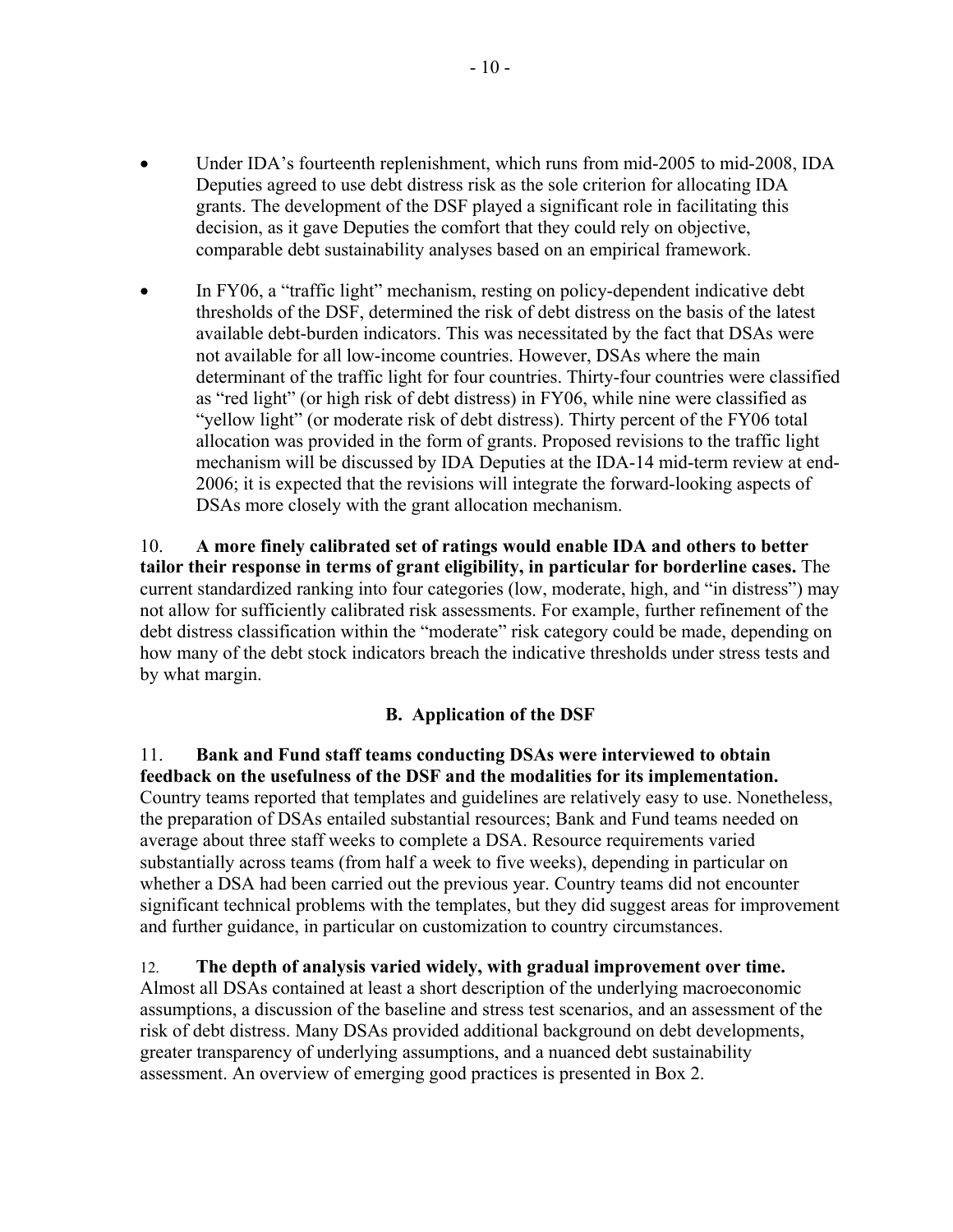- Under IDA's fourteenth replenishment, which runs from mid-2005 to mid-2008, IDA Deputies agreed to use debt distress risk as the sole criterion for allocating IDA grants. The development of the DSF played a significant role in facilitating this decision, as it gave Deputies the comfort that they could rely on objective, comparable debt sustainability analyses based on an empirical framework.
- In FY06, a "traffic light" mechanism, resting on policy-dependent indicative debt thresholds of the DSF, determined the risk of debt distress on the basis of the latest available debt-burden indicators. This was necessitated by the fact that DSAs were not available for all low-income countries. However, DSAs where the main determinant of the traffic light for four countries. Thirty-four countries were classified as "red light" (or high risk of debt distress) in FY06, while nine were classified as "yellow light" (or moderate risk of debt distress). Thirty percent of the FY06 total allocation was provided in the form of grants. Proposed revisions to the traffic light mechanism will be discussed by IDA Deputies at the IDA-14 mid-term review at end-2006; it is expected that the revisions will integrate the forward-looking aspects of DSAs more closely with the grant allocation mechanism.

10. **A more finely calibrated set of ratings would enable IDA and others to better tailor their response in terms of grant eligibility, in particular for borderline cases.** The current standardized ranking into four categories (low, moderate, high, and "in distress") may not allow for sufficiently calibrated risk assessments. For example, further refinement of the debt distress classification within the "moderate" risk category could be made, depending on how many of the debt stock indicators breach the indicative thresholds under stress tests and by what margin.

## **B. Application of the DSF**

11. **Bank and Fund staff teams conducting DSAs were interviewed to obtain feedback on the usefulness of the DSF and the modalities for its implementation.**  Country teams reported that templates and guidelines are relatively easy to use. Nonetheless, the preparation of DSAs entailed substantial resources; Bank and Fund teams needed on average about three staff weeks to complete a DSA. Resource requirements varied substantially across teams (from half a week to five weeks), depending in particular on whether a DSA had been carried out the previous year. Country teams did not encounter significant technical problems with the templates, but they did suggest areas for improvement and further guidance, in particular on customization to country circumstances.

12. **The depth of analysis varied widely, with gradual improvement over time.**  Almost all DSAs contained at least a short description of the underlying macroeconomic assumptions, a discussion of the baseline and stress test scenarios, and an assessment of the risk of debt distress. Many DSAs provided additional background on debt developments, greater transparency of underlying assumptions, and a nuanced debt sustainability assessment. An overview of emerging good practices is presented in Box 2.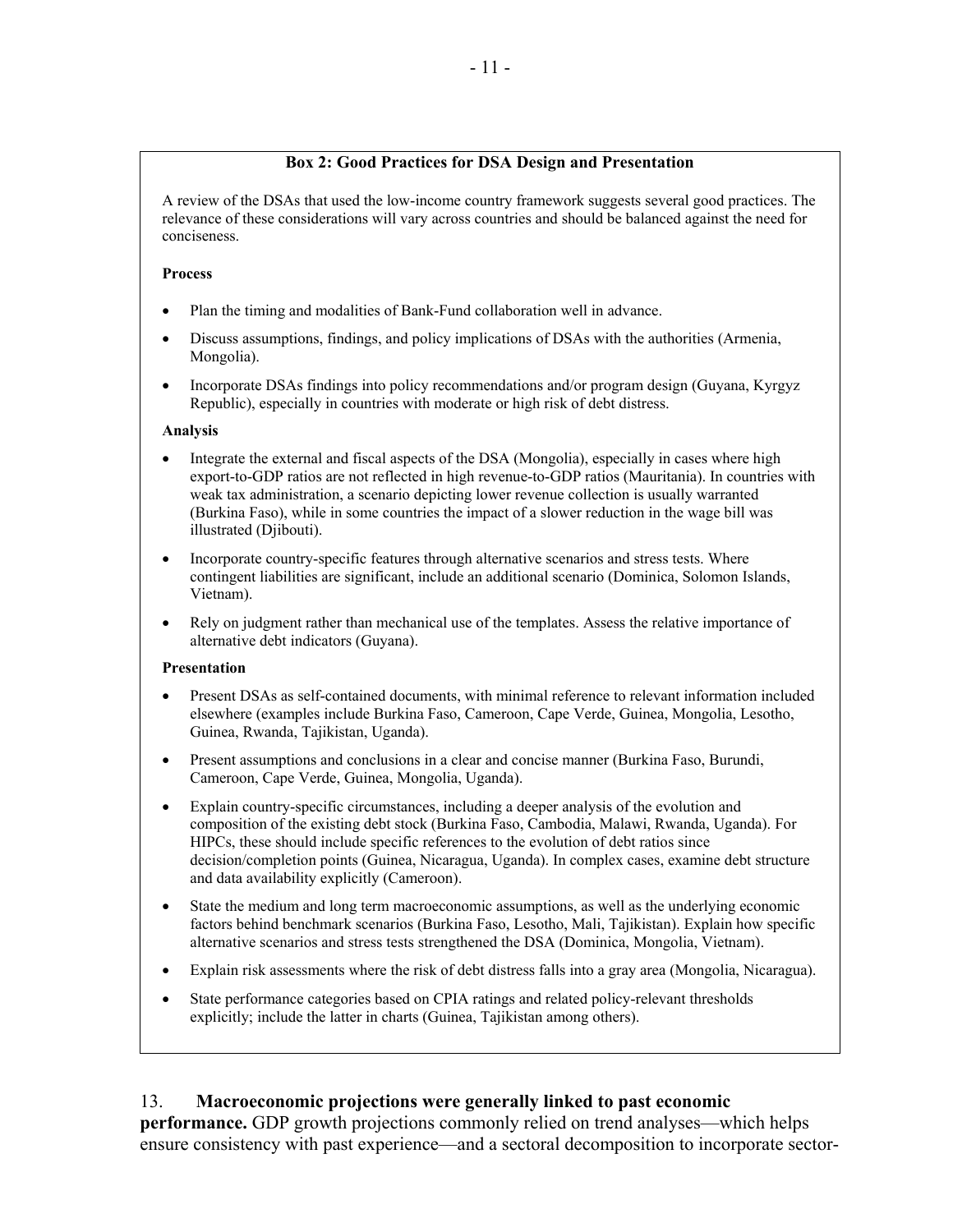### **Box 2: Good Practices for DSA Design and Presentation**

A review of the DSAs that used the low-income country framework suggests several good practices. The relevance of these considerations will vary across countries and should be balanced against the need for conciseness.

### **Process**

- Plan the timing and modalities of Bank-Fund collaboration well in advance.
- Discuss assumptions, findings, and policy implications of DSAs with the authorities (Armenia, Mongolia).
- Incorporate DSAs findings into policy recommendations and/or program design (Guyana, Kyrgyz Republic), especially in countries with moderate or high risk of debt distress.

### **Analysis**

- Integrate the external and fiscal aspects of the DSA (Mongolia), especially in cases where high export-to-GDP ratios are not reflected in high revenue-to-GDP ratios (Mauritania). In countries with weak tax administration, a scenario depicting lower revenue collection is usually warranted (Burkina Faso), while in some countries the impact of a slower reduction in the wage bill was illustrated (Djibouti).
- Incorporate country-specific features through alternative scenarios and stress tests. Where contingent liabilities are significant, include an additional scenario (Dominica, Solomon Islands, Vietnam).
- Rely on judgment rather than mechanical use of the templates. Assess the relative importance of alternative debt indicators (Guyana).

### **Presentation**

- Present DSAs as self-contained documents, with minimal reference to relevant information included elsewhere (examples include Burkina Faso, Cameroon, Cape Verde, Guinea, Mongolia, Lesotho, Guinea, Rwanda, Tajikistan, Uganda).
- Present assumptions and conclusions in a clear and concise manner (Burkina Faso, Burundi, Cameroon, Cape Verde, Guinea, Mongolia, Uganda).
- Explain country-specific circumstances, including a deeper analysis of the evolution and composition of the existing debt stock (Burkina Faso, Cambodia, Malawi, Rwanda, Uganda). For HIPCs, these should include specific references to the evolution of debt ratios since decision/completion points (Guinea, Nicaragua, Uganda). In complex cases, examine debt structure and data availability explicitly (Cameroon).
- State the medium and long term macroeconomic assumptions, as well as the underlying economic factors behind benchmark scenarios (Burkina Faso, Lesotho, Mali, Tajikistan). Explain how specific alternative scenarios and stress tests strengthened the DSA (Dominica, Mongolia, Vietnam).
- Explain risk assessments where the risk of debt distress falls into a gray area (Mongolia, Nicaragua).
- State performance categories based on CPIA ratings and related policy-relevant thresholds explicitly; include the latter in charts (Guinea, Tajikistan among others).

## 13. **Macroeconomic projections were generally linked to past economic**

**performance.** GDP growth projections commonly relied on trend analyses—which helps ensure consistency with past experience—and a sectoral decomposition to incorporate sector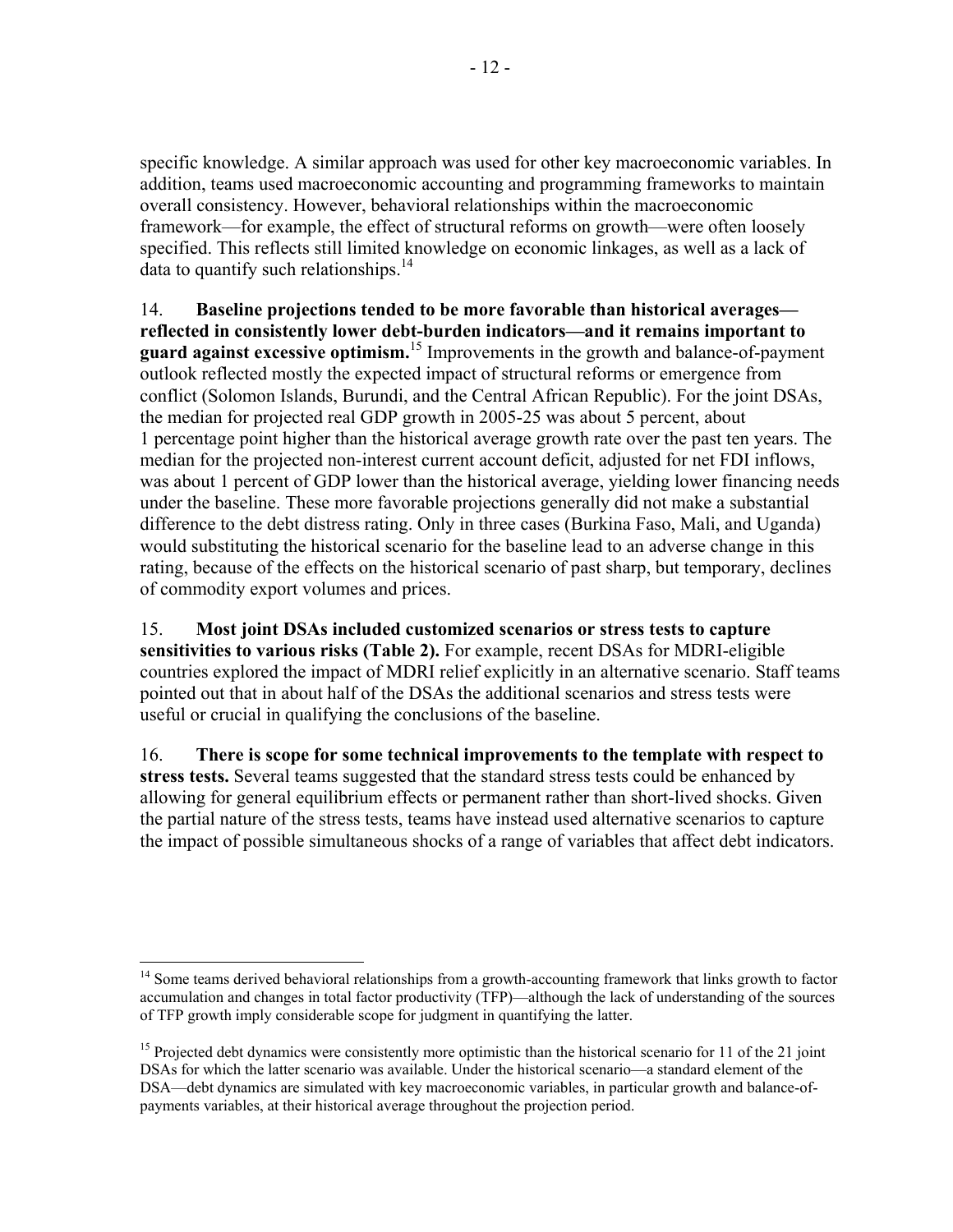specific knowledge. A similar approach was used for other key macroeconomic variables. In addition, teams used macroeconomic accounting and programming frameworks to maintain overall consistency. However, behavioral relationships within the macroeconomic framework—for example, the effect of structural reforms on growth—were often loosely specified. This reflects still limited knowledge on economic linkages, as well as a lack of data to quantify such relationships.<sup>14</sup>

14. **Baseline projections tended to be more favorable than historical averages reflected in consistently lower debt-burden indicators—and it remains important to guard against excessive optimism.**<sup>15</sup> Improvements in the growth and balance-of-payment outlook reflected mostly the expected impact of structural reforms or emergence from conflict (Solomon Islands, Burundi, and the Central African Republic). For the joint DSAs, the median for projected real GDP growth in 2005-25 was about 5 percent, about 1 percentage point higher than the historical average growth rate over the past ten years. The median for the projected non-interest current account deficit, adjusted for net FDI inflows, was about 1 percent of GDP lower than the historical average, yielding lower financing needs under the baseline. These more favorable projections generally did not make a substantial difference to the debt distress rating. Only in three cases (Burkina Faso, Mali, and Uganda) would substituting the historical scenario for the baseline lead to an adverse change in this rating, because of the effects on the historical scenario of past sharp, but temporary, declines of commodity export volumes and prices.

## 15. **Most joint DSAs included customized scenarios or stress tests to capture sensitivities to various risks (Table 2).** For example, recent DSAs for MDRI-eligible countries explored the impact of MDRI relief explicitly in an alternative scenario. Staff teams pointed out that in about half of the DSAs the additional scenarios and stress tests were useful or crucial in qualifying the conclusions of the baseline.

16. **There is scope for some technical improvements to the template with respect to stress tests.** Several teams suggested that the standard stress tests could be enhanced by allowing for general equilibrium effects or permanent rather than short-lived shocks. Given the partial nature of the stress tests, teams have instead used alternative scenarios to capture the impact of possible simultaneous shocks of a range of variables that affect debt indicators.

 $\overline{a}$ <sup>14</sup> Some teams derived behavioral relationships from a growth-accounting framework that links growth to factor accumulation and changes in total factor productivity (TFP)—although the lack of understanding of the sources of TFP growth imply considerable scope for judgment in quantifying the latter.

<sup>&</sup>lt;sup>15</sup> Projected debt dynamics were consistently more optimistic than the historical scenario for 11 of the 21 joint DSAs for which the latter scenario was available. Under the historical scenario—a standard element of the DSA—debt dynamics are simulated with key macroeconomic variables, in particular growth and balance-ofpayments variables, at their historical average throughout the projection period.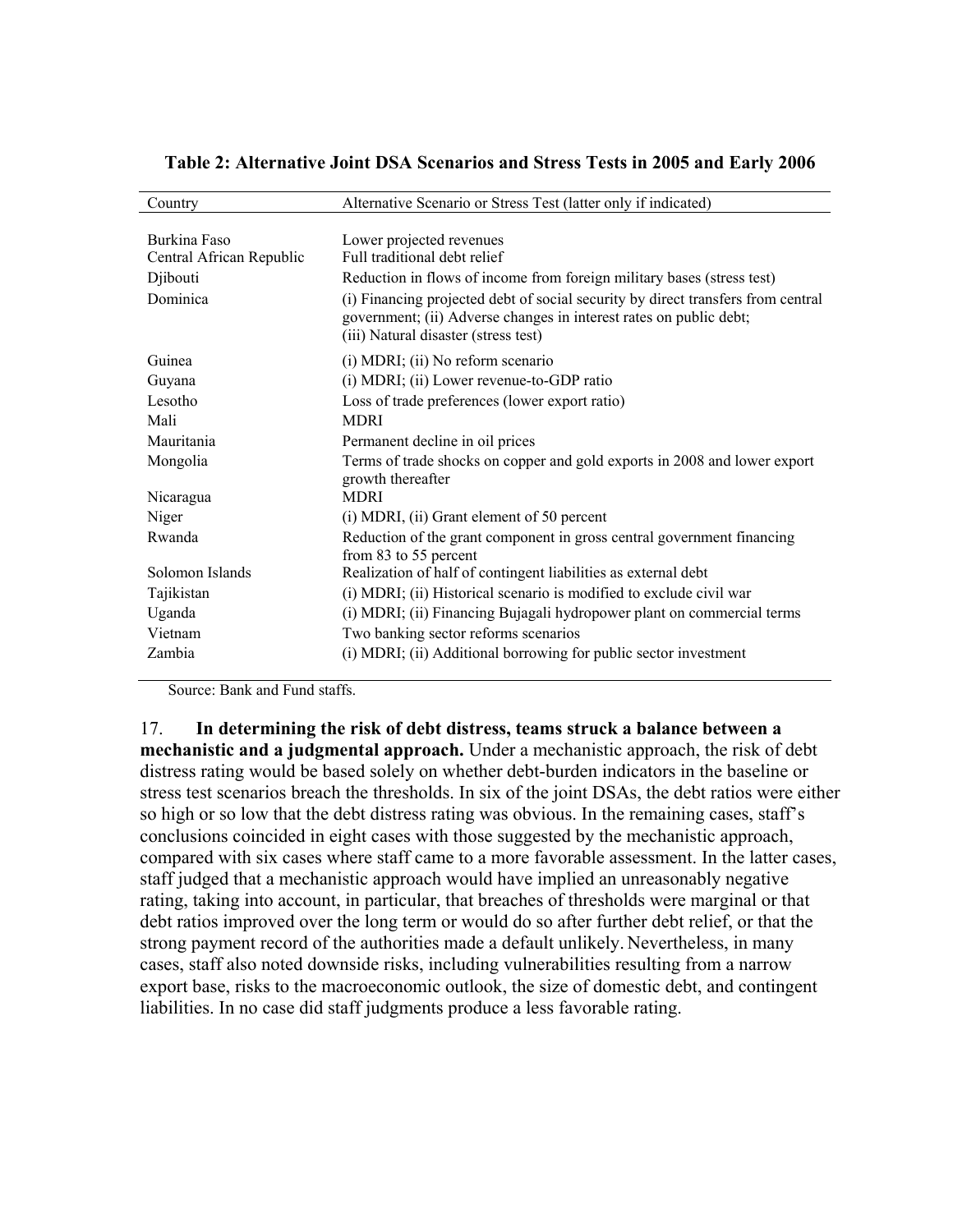| Country                  | Alternative Scenario or Stress Test (latter only if indicated)                                                                                                                                 |
|--------------------------|------------------------------------------------------------------------------------------------------------------------------------------------------------------------------------------------|
|                          |                                                                                                                                                                                                |
| Burkina Faso             | Lower projected revenues                                                                                                                                                                       |
| Central African Republic | Full traditional debt relief                                                                                                                                                                   |
| Djibouti                 | Reduction in flows of income from foreign military bases (stress test)                                                                                                                         |
| Dominica                 | (i) Financing projected debt of social security by direct transfers from central<br>government; (ii) Adverse changes in interest rates on public debt;<br>(iii) Natural disaster (stress test) |
| Guinea                   | (i) MDRI; (ii) No reform scenario                                                                                                                                                              |
| Guyana                   | (i) MDRI; (ii) Lower revenue-to-GDP ratio                                                                                                                                                      |
| Lesotho                  | Loss of trade preferences (lower export ratio)                                                                                                                                                 |
| Mali                     | <b>MDRI</b>                                                                                                                                                                                    |
| Mauritania               | Permanent decline in oil prices                                                                                                                                                                |
| Mongolia                 | Terms of trade shocks on copper and gold exports in 2008 and lower export<br>growth thereafter                                                                                                 |
| Nicaragua                | <b>MDRI</b>                                                                                                                                                                                    |
| Niger                    | $(i)$ MDRI, $(ii)$ Grant element of 50 percent                                                                                                                                                 |
| Rwanda                   | Reduction of the grant component in gross central government financing<br>from 83 to 55 percent                                                                                                |
| Solomon Islands          | Realization of half of contingent liabilities as external debt                                                                                                                                 |
| Tajikistan               | (i) MDRI; (ii) Historical scenario is modified to exclude civil war                                                                                                                            |
| Uganda                   | (i) MDRI; (ii) Financing Bujagali hydropower plant on commercial terms                                                                                                                         |
| Vietnam                  | Two banking sector reforms scenarios                                                                                                                                                           |
| Zambia                   | (i) MDRI; (ii) Additional borrowing for public sector investment                                                                                                                               |
|                          |                                                                                                                                                                                                |

### **Table 2: Alternative Joint DSA Scenarios and Stress Tests in 2005 and Early 2006**

Source: Bank and Fund staffs.

17. **In determining the risk of debt distress, teams struck a balance between a mechanistic and a judgmental approach.** Under a mechanistic approach, the risk of debt distress rating would be based solely on whether debt-burden indicators in the baseline or stress test scenarios breach the thresholds. In six of the joint DSAs, the debt ratios were either so high or so low that the debt distress rating was obvious. In the remaining cases, staff's conclusions coincided in eight cases with those suggested by the mechanistic approach, compared with six cases where staff came to a more favorable assessment. In the latter cases, staff judged that a mechanistic approach would have implied an unreasonably negative rating, taking into account, in particular, that breaches of thresholds were marginal or that debt ratios improved over the long term or would do so after further debt relief, or that the strong payment record of the authorities made a default unlikely. Nevertheless, in many cases, staff also noted downside risks, including vulnerabilities resulting from a narrow export base, risks to the macroeconomic outlook, the size of domestic debt, and contingent liabilities. In no case did staff judgments produce a less favorable rating.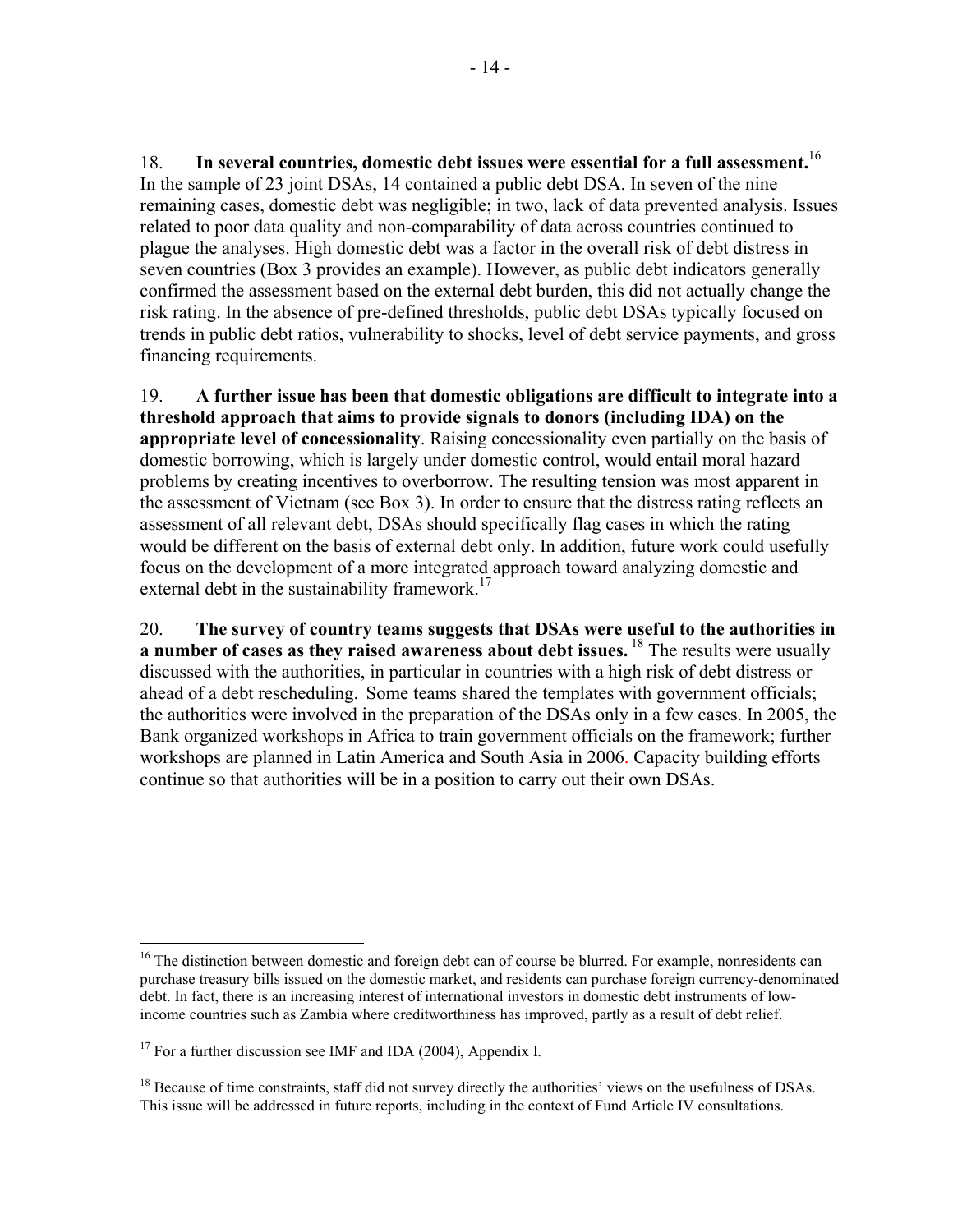18. **In several countries, domestic debt issues were essential for a full assessment.**<sup>16</sup> In the sample of 23 joint DSAs, 14 contained a public debt DSA. In seven of the nine remaining cases, domestic debt was negligible; in two, lack of data prevented analysis. Issues related to poor data quality and non-comparability of data across countries continued to plague the analyses. High domestic debt was a factor in the overall risk of debt distress in seven countries (Box 3 provides an example). However, as public debt indicators generally confirmed the assessment based on the external debt burden, this did not actually change the risk rating. In the absence of pre-defined thresholds, public debt DSAs typically focused on trends in public debt ratios, vulnerability to shocks, level of debt service payments, and gross financing requirements.

19. **A further issue has been that domestic obligations are difficult to integrate into a threshold approach that aims to provide signals to donors (including IDA) on the appropriate level of concessionality**. Raising concessionality even partially on the basis of domestic borrowing, which is largely under domestic control, would entail moral hazard problems by creating incentives to overborrow. The resulting tension was most apparent in the assessment of Vietnam (see Box 3). In order to ensure that the distress rating reflects an assessment of all relevant debt, DSAs should specifically flag cases in which the rating would be different on the basis of external debt only. In addition, future work could usefully focus on the development of a more integrated approach toward analyzing domestic and external debt in the sustainability framework.<sup>17</sup>

20. **The survey of country teams suggests that DSAs were useful to the authorities in a number of cases as they raised awareness about debt issues.** 18 The results were usually discussed with the authorities, in particular in countries with a high risk of debt distress or ahead of a debt rescheduling. Some teams shared the templates with government officials; the authorities were involved in the preparation of the DSAs only in a few cases. In 2005, the Bank organized workshops in Africa to train government officials on the framework; further workshops are planned in Latin America and South Asia in 2006. Capacity building efforts continue so that authorities will be in a position to carry out their own DSAs.

1

<sup>&</sup>lt;sup>16</sup> The distinction between domestic and foreign debt can of course be blurred. For example, nonresidents can purchase treasury bills issued on the domestic market, and residents can purchase foreign currency-denominated debt. In fact, there is an increasing interest of international investors in domestic debt instruments of lowincome countries such as Zambia where creditworthiness has improved, partly as a result of debt relief.

<sup>17</sup> For a further discussion see IMF and IDA (2004), Appendix I*.*

<sup>&</sup>lt;sup>18</sup> Because of time constraints, staff did not survey directly the authorities' views on the usefulness of DSAs. This issue will be addressed in future reports, including in the context of Fund Article IV consultations.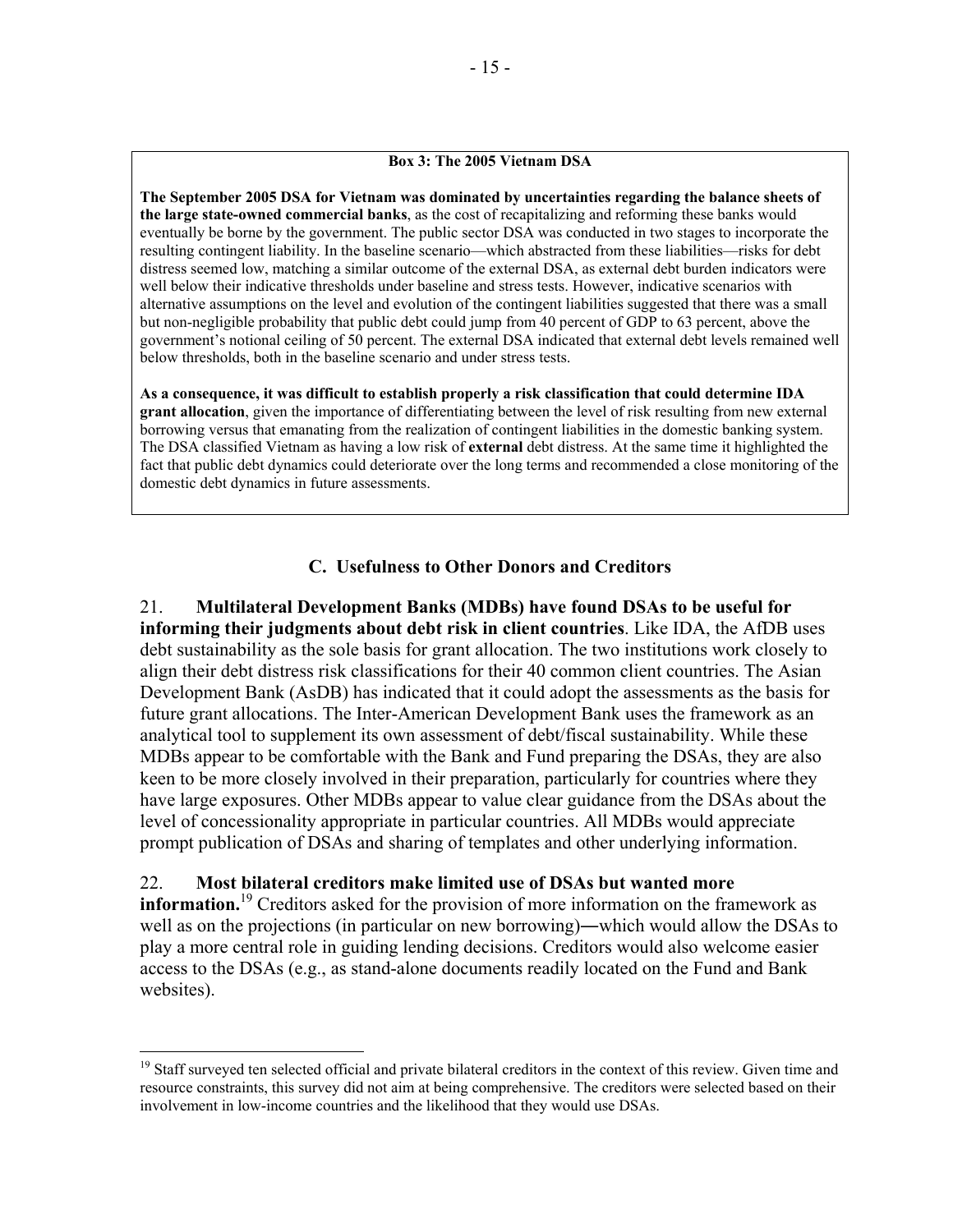### **Box 3: The 2005 Vietnam DSA**

**The September 2005 DSA for Vietnam was dominated by uncertainties regarding the balance sheets of the large state-owned commercial banks**, as the cost of recapitalizing and reforming these banks would eventually be borne by the government. The public sector DSA was conducted in two stages to incorporate the resulting contingent liability. In the baseline scenario—which abstracted from these liabilities—risks for debt distress seemed low, matching a similar outcome of the external DSA, as external debt burden indicators were well below their indicative thresholds under baseline and stress tests. However, indicative scenarios with alternative assumptions on the level and evolution of the contingent liabilities suggested that there was a small but non-negligible probability that public debt could jump from 40 percent of GDP to 63 percent, above the government's notional ceiling of 50 percent. The external DSA indicated that external debt levels remained well below thresholds, both in the baseline scenario and under stress tests.

**As a consequence, it was difficult to establish properly a risk classification that could determine IDA grant allocation**, given the importance of differentiating between the level of risk resulting from new external borrowing versus that emanating from the realization of contingent liabilities in the domestic banking system. The DSA classified Vietnam as having a low risk of **external** debt distress. At the same time it highlighted the fact that public debt dynamics could deteriorate over the long terms and recommended a close monitoring of the domestic debt dynamics in future assessments.

## **C. Usefulness to Other Donors and Creditors**

21. **Multilateral Development Banks (MDBs) have found DSAs to be useful for informing their judgments about debt risk in client countries**. Like IDA, the AfDB uses debt sustainability as the sole basis for grant allocation. The two institutions work closely to align their debt distress risk classifications for their 40 common client countries. The Asian Development Bank (AsDB) has indicated that it could adopt the assessments as the basis for future grant allocations. The Inter-American Development Bank uses the framework as an analytical tool to supplement its own assessment of debt/fiscal sustainability. While these MDBs appear to be comfortable with the Bank and Fund preparing the DSAs, they are also keen to be more closely involved in their preparation, particularly for countries where they have large exposures. Other MDBs appear to value clear guidance from the DSAs about the level of concessionality appropriate in particular countries. All MDBs would appreciate prompt publication of DSAs and sharing of templates and other underlying information.

## 22. **Most bilateral creditors make limited use of DSAs but wanted more**

 $\overline{a}$ 

**information.**<sup>19</sup> Creditors asked for the provision of more information on the framework as well as on the projections (in particular on new borrowing)—which would allow the DSAs to play a more central role in guiding lending decisions. Creditors would also welcome easier access to the DSAs (e.g., as stand-alone documents readily located on the Fund and Bank websites).

<sup>&</sup>lt;sup>19</sup> Staff surveyed ten selected official and private bilateral creditors in the context of this review. Given time and resource constraints, this survey did not aim at being comprehensive. The creditors were selected based on their involvement in low-income countries and the likelihood that they would use DSAs.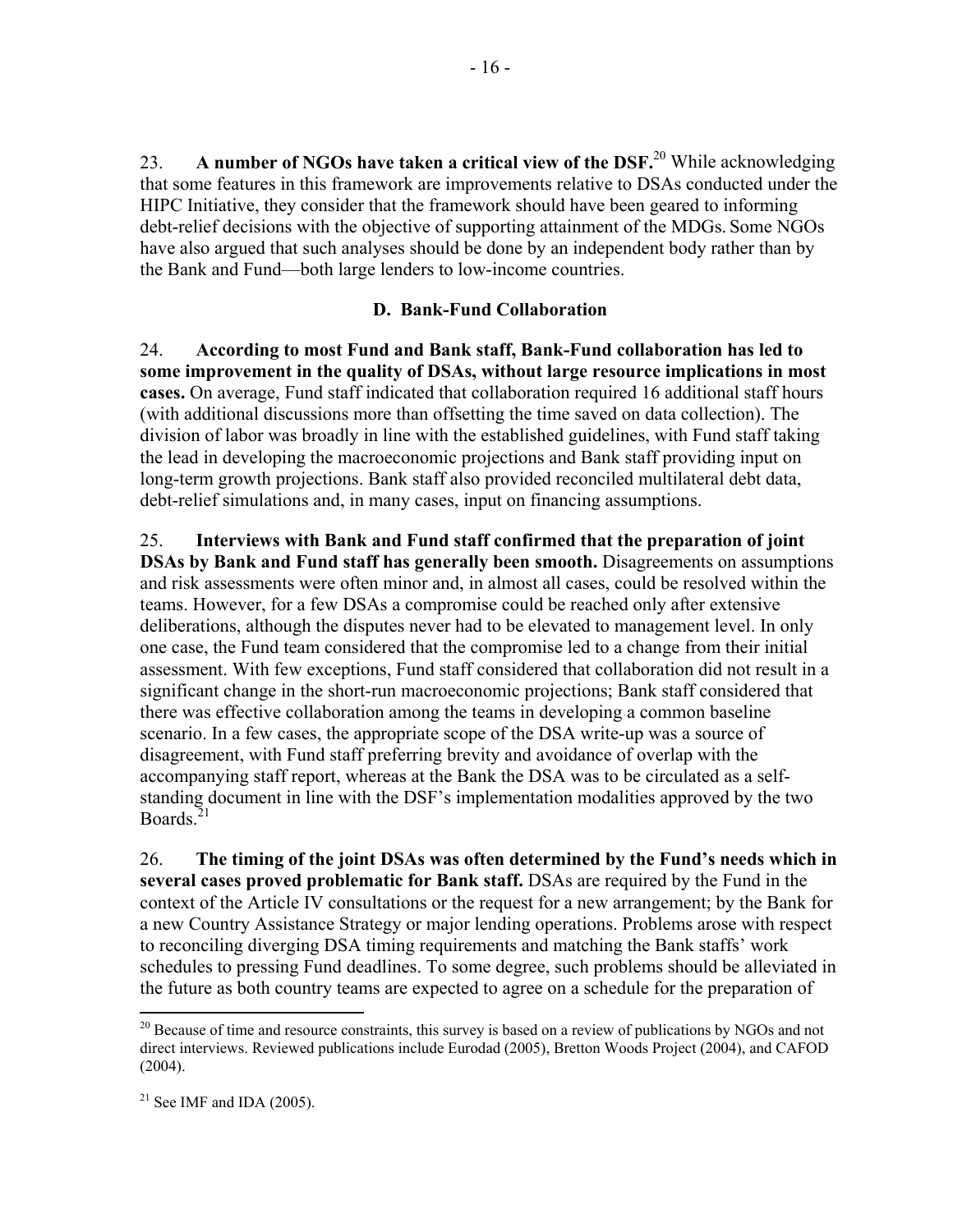23. **A number of NGOs have taken a critical view of the DSF.**20 While acknowledging that some features in this framework are improvements relative to DSAs conducted under the HIPC Initiative, they consider that the framework should have been geared to informing debt-relief decisions with the objective of supporting attainment of the MDGs. Some NGOs have also argued that such analyses should be done by an independent body rather than by the Bank and Fund—both large lenders to low-income countries.

## **D. Bank-Fund Collaboration**

24. **According to most Fund and Bank staff, Bank-Fund collaboration has led to some improvement in the quality of DSAs, without large resource implications in most cases.** On average, Fund staff indicated that collaboration required 16 additional staff hours (with additional discussions more than offsetting the time saved on data collection). The division of labor was broadly in line with the established guidelines, with Fund staff taking the lead in developing the macroeconomic projections and Bank staff providing input on long-term growth projections. Bank staff also provided reconciled multilateral debt data, debt-relief simulations and, in many cases, input on financing assumptions.

25. **Interviews with Bank and Fund staff confirmed that the preparation of joint DSAs by Bank and Fund staff has generally been smooth.** Disagreements on assumptions and risk assessments were often minor and, in almost all cases, could be resolved within the teams. However, for a few DSAs a compromise could be reached only after extensive deliberations, although the disputes never had to be elevated to management level. In only one case, the Fund team considered that the compromise led to a change from their initial assessment. With few exceptions, Fund staff considered that collaboration did not result in a significant change in the short-run macroeconomic projections; Bank staff considered that there was effective collaboration among the teams in developing a common baseline scenario. In a few cases, the appropriate scope of the DSA write-up was a source of disagreement, with Fund staff preferring brevity and avoidance of overlap with the accompanying staff report, whereas at the Bank the DSA was to be circulated as a selfstanding document in line with the DSF's implementation modalities approved by the two Boards $21$ 

26. **The timing of the joint DSAs was often determined by the Fund's needs which in several cases proved problematic for Bank staff.** DSAs are required by the Fund in the context of the Article IV consultations or the request for a new arrangement; by the Bank for a new Country Assistance Strategy or major lending operations. Problems arose with respect to reconciling diverging DSA timing requirements and matching the Bank staffs' work schedules to pressing Fund deadlines. To some degree, such problems should be alleviated in the future as both country teams are expected to agree on a schedule for the preparation of

1

<sup>&</sup>lt;sup>20</sup> Because of time and resource constraints, this survey is based on a review of publications by NGOs and not direct interviews. Reviewed publications include Eurodad (2005), Bretton Woods Project (2004), and CAFOD  $(2004)$ .

 $21$  See IMF and IDA (2005).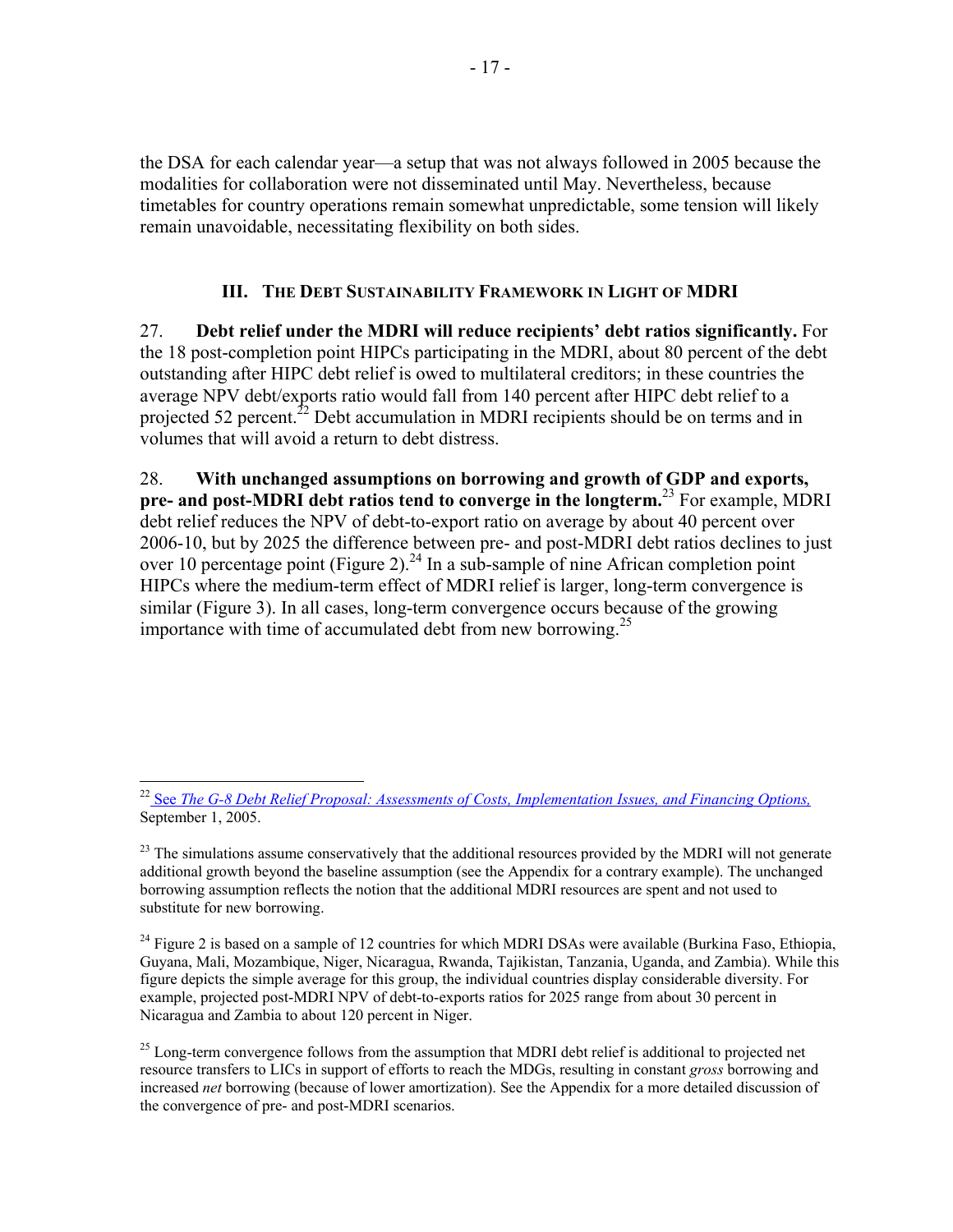the DSA for each calendar year—a setup that was not always followed in 2005 because the modalities for collaboration were not disseminated until May. Nevertheless, because timetables for country operations remain somewhat unpredictable, some tension will likely remain unavoidable, necessitating flexibility on both sides.

## **III. THE DEBT SUSTAINABILITY FRAMEWORK IN LIGHT OF MDRI**

27. **Debt relief under the MDRI will reduce recipients' debt ratios significantly.** For the 18 post-completion point HIPCs participating in the MDRI, about 80 percent of the debt outstanding after HIPC debt relief is owed to multilateral creditors; in these countries the average NPV debt/exports ratio would fall from 140 percent after HIPC debt relief to a projected 52 percent.<sup>22</sup> Debt accumulation in MDRI recipients should be on terms and in volumes that will avoid a return to debt distress.

28. **With unchanged assumptions on borrowing and growth of GDP and exports, pre- and post-MDRI debt ratios tend to converge in the longterm.**23 For example, MDRI debt relief reduces the NPV of debt-to-export ratio on average by about 40 percent over 2006-10, but by 2025 the difference between pre- and post-MDRI debt ratios declines to just over 10 percentage point (Figure 2).<sup>24</sup> In a sub-sample of nine African completion point HIPCs where the medium-term effect of MDRI relief is larger, long-term convergence is similar (Figure 3). In all cases, long-term convergence occurs because of the growing importance with time of accumulated debt from new borrowing.<sup>25</sup>

<sup>24</sup> Figure 2 is based on a sample of 12 countries for which MDRI DSAs were available (Burkina Faso, Ethiopia, Guyana, Mali, Mozambique, Niger, Nicaragua, Rwanda, Tajikistan, Tanzania, Uganda, and Zambia). While this figure depicts the simple average for this group, the individual countries display considerable diversity. For example, projected post-MDRI NPV of debt-to-exports ratios for 2025 range from about 30 percent in Nicaragua and Zambia to about 120 percent in Niger.

 $^{25}$  Long-term convergence follows from the assumption that MDRI debt relief is additional to projected net resource transfers to LICs in support of efforts to reach the MDGs, resulting in constant *gross* borrowing and increased *net* borrowing (because of lower amortization). See the Appendix for a more detailed discussion of the convergence of pre- and post-MDRI scenarios.

 $\overline{a}$ 22 See *[The G-8 Debt Relief Proposal: Assessments of Costs, Implementation Issues, and Financing Options,](http://www-wds.worldbank.org/external/default/main?pagePK=64193027&piPK=64187937&theSitePK=523679&menuPK=64187510&searchMenuPK=64187511&theSitePK=523679&entityID=000012009_20050913091603&searchMenuPK=64187511&theSitePK=523679)* September 1, 2005.

 $^{23}$  The simulations assume conservatively that the additional resources provided by the MDRI will not generate additional growth beyond the baseline assumption (see the Appendix for a contrary example). The unchanged borrowing assumption reflects the notion that the additional MDRI resources are spent and not used to substitute for new borrowing.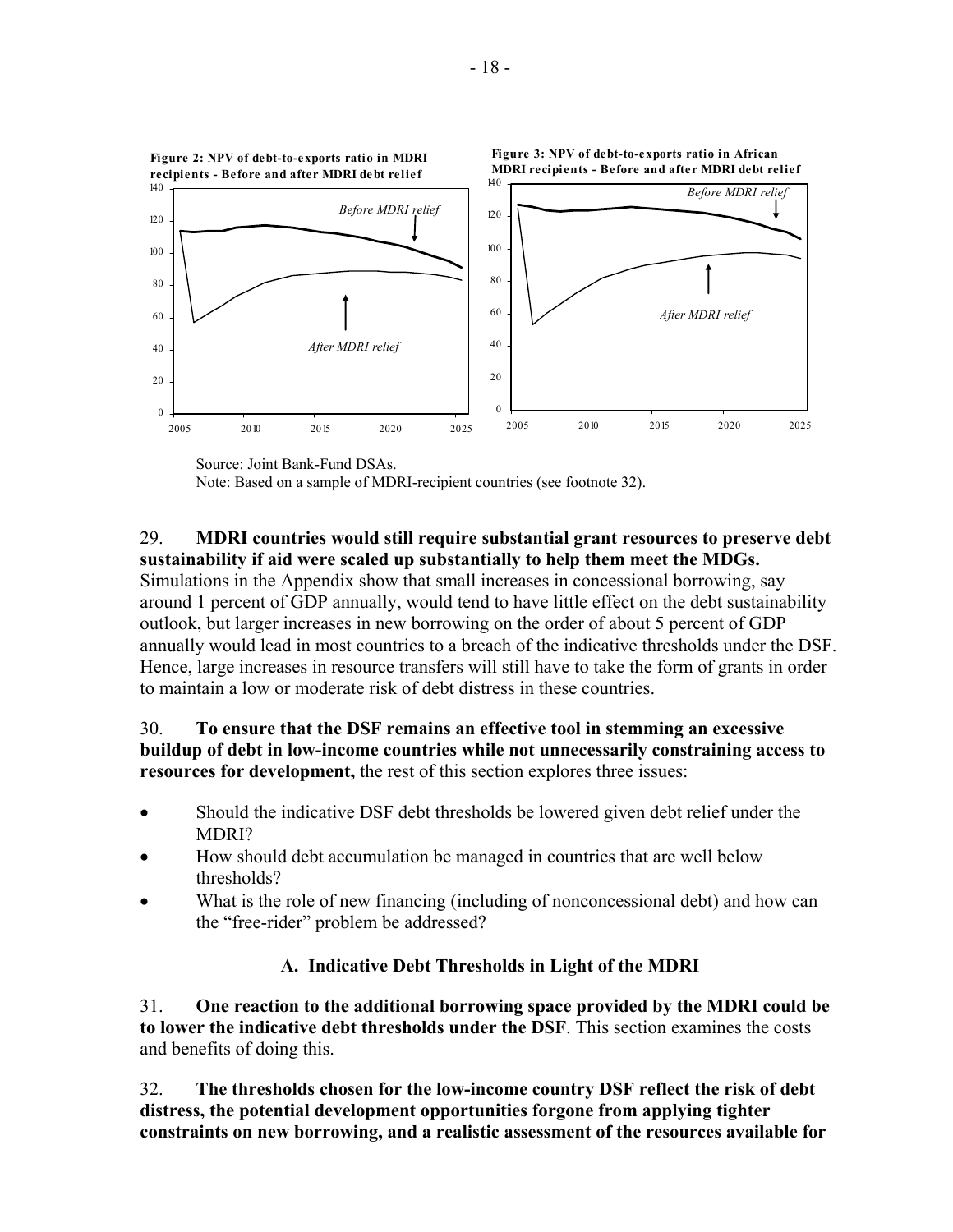

Source: Joint Bank-Fund DSAs.

Note: Based on a sample of MDRI-recipient countries (see footnote 32).

# 29. **MDRI countries would still require substantial grant resources to preserve debt**

**sustainability if aid were scaled up substantially to help them meet the MDGs.**  Simulations in the Appendix show that small increases in concessional borrowing, say around 1 percent of GDP annually, would tend to have little effect on the debt sustainability outlook, but larger increases in new borrowing on the order of about 5 percent of GDP annually would lead in most countries to a breach of the indicative thresholds under the DSF. Hence, large increases in resource transfers will still have to take the form of grants in order to maintain a low or moderate risk of debt distress in these countries.

## 30. **To ensure that the DSF remains an effective tool in stemming an excessive buildup of debt in low-income countries while not unnecessarily constraining access to resources for development,** the rest of this section explores three issues:

- Should the indicative DSF debt thresholds be lowered given debt relief under the MDRI?
- How should debt accumulation be managed in countries that are well below thresholds?
- What is the role of new financing (including of nonconcessional debt) and how can the "free-rider" problem be addressed?

## **A. Indicative Debt Thresholds in Light of the MDRI**

31. **One reaction to the additional borrowing space provided by the MDRI could be to lower the indicative debt thresholds under the DSF**. This section examines the costs and benefits of doing this.

32. **The thresholds chosen for the low-income country DSF reflect the risk of debt distress, the potential development opportunities forgone from applying tighter constraints on new borrowing, and a realistic assessment of the resources available for**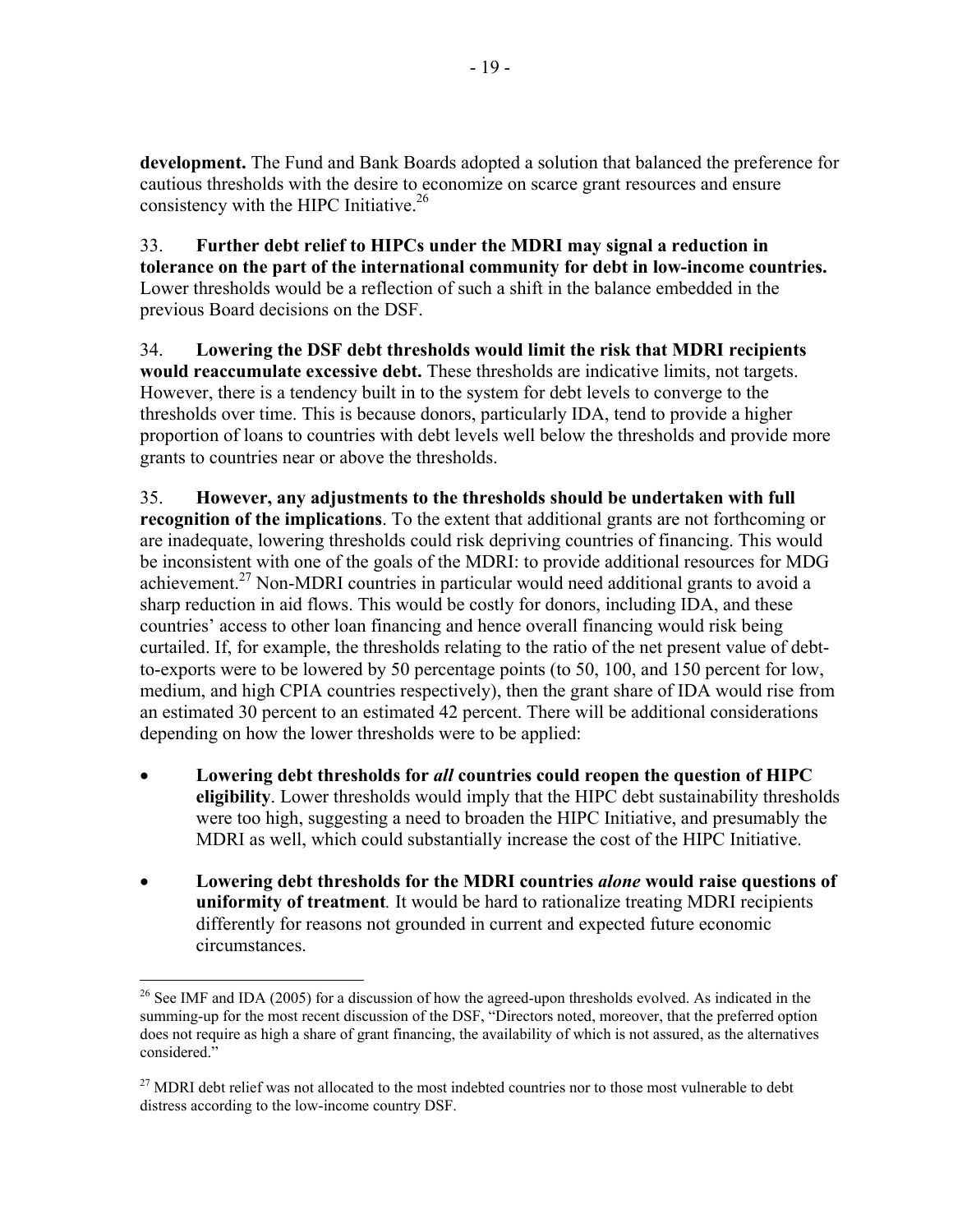**development.** The Fund and Bank Boards adopted a solution that balanced the preference for cautious thresholds with the desire to economize on scarce grant resources and ensure consistency with the HIPC Initiative.<sup>26</sup>

33. **Further debt relief to HIPCs under the MDRI may signal a reduction in tolerance on the part of the international community for debt in low-income countries.** Lower thresholds would be a reflection of such a shift in the balance embedded in the previous Board decisions on the DSF.

34. **Lowering the DSF debt thresholds would limit the risk that MDRI recipients would reaccumulate excessive debt.** These thresholds are indicative limits, not targets. However, there is a tendency built in to the system for debt levels to converge to the thresholds over time. This is because donors, particularly IDA, tend to provide a higher proportion of loans to countries with debt levels well below the thresholds and provide more grants to countries near or above the thresholds.

35. **However, any adjustments to the thresholds should be undertaken with full recognition of the implications**. To the extent that additional grants are not forthcoming or are inadequate, lowering thresholds could risk depriving countries of financing. This would be inconsistent with one of the goals of the MDRI: to provide additional resources for MDG achievement.<sup>27</sup> Non-MDRI countries in particular would need additional grants to avoid a sharp reduction in aid flows. This would be costly for donors, including IDA, and these countries' access to other loan financing and hence overall financing would risk being curtailed. If, for example, the thresholds relating to the ratio of the net present value of debtto-exports were to be lowered by 50 percentage points (to 50, 100, and 150 percent for low, medium, and high CPIA countries respectively), then the grant share of IDA would rise from an estimated 30 percent to an estimated 42 percent. There will be additional considerations depending on how the lower thresholds were to be applied:

- **Lowering debt thresholds for** *all* **countries could reopen the question of HIPC eligibility**. Lower thresholds would imply that the HIPC debt sustainability thresholds were too high, suggesting a need to broaden the HIPC Initiative, and presumably the MDRI as well, which could substantially increase the cost of the HIPC Initiative.
- **Lowering debt thresholds for the MDRI countries** *alone* **would raise questions of uniformity of treatment***.* It would be hard to rationalize treating MDRI recipients differently for reasons not grounded in current and expected future economic circumstances.

 $\overline{a}$  $26$  See IMF and IDA (2005) for a discussion of how the agreed-upon thresholds evolved. As indicated in the summing-up for the most recent discussion of the DSF, "Directors noted, moreover, that the preferred option does not require as high a share of grant financing, the availability of which is not assured, as the alternatives considered."

<sup>&</sup>lt;sup>27</sup> MDRI debt relief was not allocated to the most indebted countries nor to those most vulnerable to debt distress according to the low-income country DSF.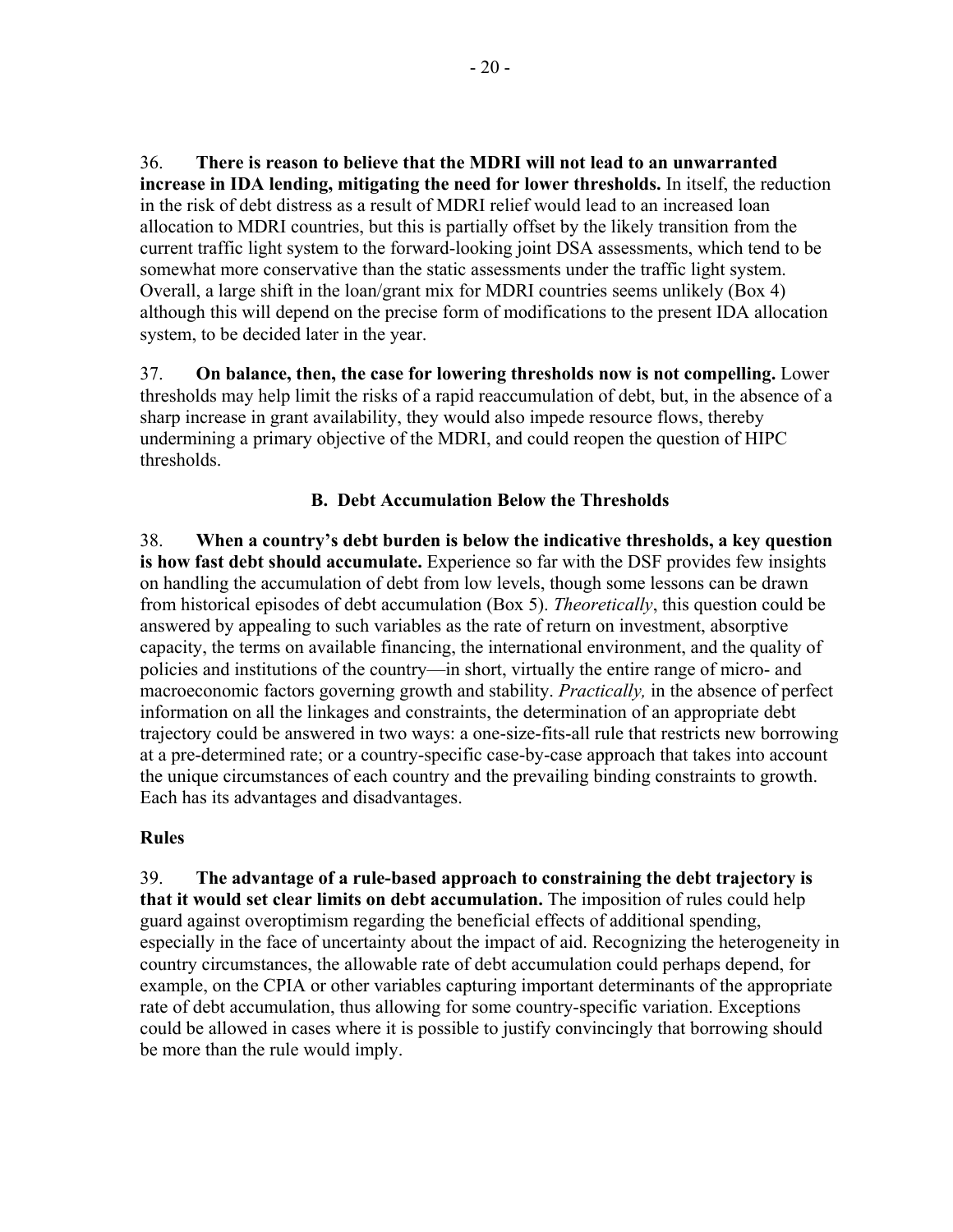36. **There is reason to believe that the MDRI will not lead to an unwarranted increase in IDA lending, mitigating the need for lower thresholds.** In itself, the reduction in the risk of debt distress as a result of MDRI relief would lead to an increased loan allocation to MDRI countries, but this is partially offset by the likely transition from the current traffic light system to the forward-looking joint DSA assessments, which tend to be somewhat more conservative than the static assessments under the traffic light system. Overall, a large shift in the loan/grant mix for MDRI countries seems unlikely (Box 4) although this will depend on the precise form of modifications to the present IDA allocation system, to be decided later in the year.

37. **On balance, then, the case for lowering thresholds now is not compelling.** Lower thresholds may help limit the risks of a rapid reaccumulation of debt, but, in the absence of a sharp increase in grant availability, they would also impede resource flows, thereby undermining a primary objective of the MDRI, and could reopen the question of HIPC thresholds.

## **B. Debt Accumulation Below the Thresholds**

38. **When a country's debt burden is below the indicative thresholds, a key question is how fast debt should accumulate.** Experience so far with the DSF provides few insights on handling the accumulation of debt from low levels, though some lessons can be drawn from historical episodes of debt accumulation (Box 5). *Theoretically*, this question could be answered by appealing to such variables as the rate of return on investment, absorptive capacity, the terms on available financing, the international environment, and the quality of policies and institutions of the country—in short, virtually the entire range of micro- and macroeconomic factors governing growth and stability. *Practically,* in the absence of perfect information on all the linkages and constraints, the determination of an appropriate debt trajectory could be answered in two ways: a one-size-fits-all rule that restricts new borrowing at a pre-determined rate; or a country-specific case-by-case approach that takes into account the unique circumstances of each country and the prevailing binding constraints to growth. Each has its advantages and disadvantages.

## **Rules**

39. **The advantage of a rule-based approach to constraining the debt trajectory is that it would set clear limits on debt accumulation.** The imposition of rules could help guard against overoptimism regarding the beneficial effects of additional spending, especially in the face of uncertainty about the impact of aid. Recognizing the heterogeneity in country circumstances, the allowable rate of debt accumulation could perhaps depend, for example, on the CPIA or other variables capturing important determinants of the appropriate rate of debt accumulation, thus allowing for some country-specific variation. Exceptions could be allowed in cases where it is possible to justify convincingly that borrowing should be more than the rule would imply.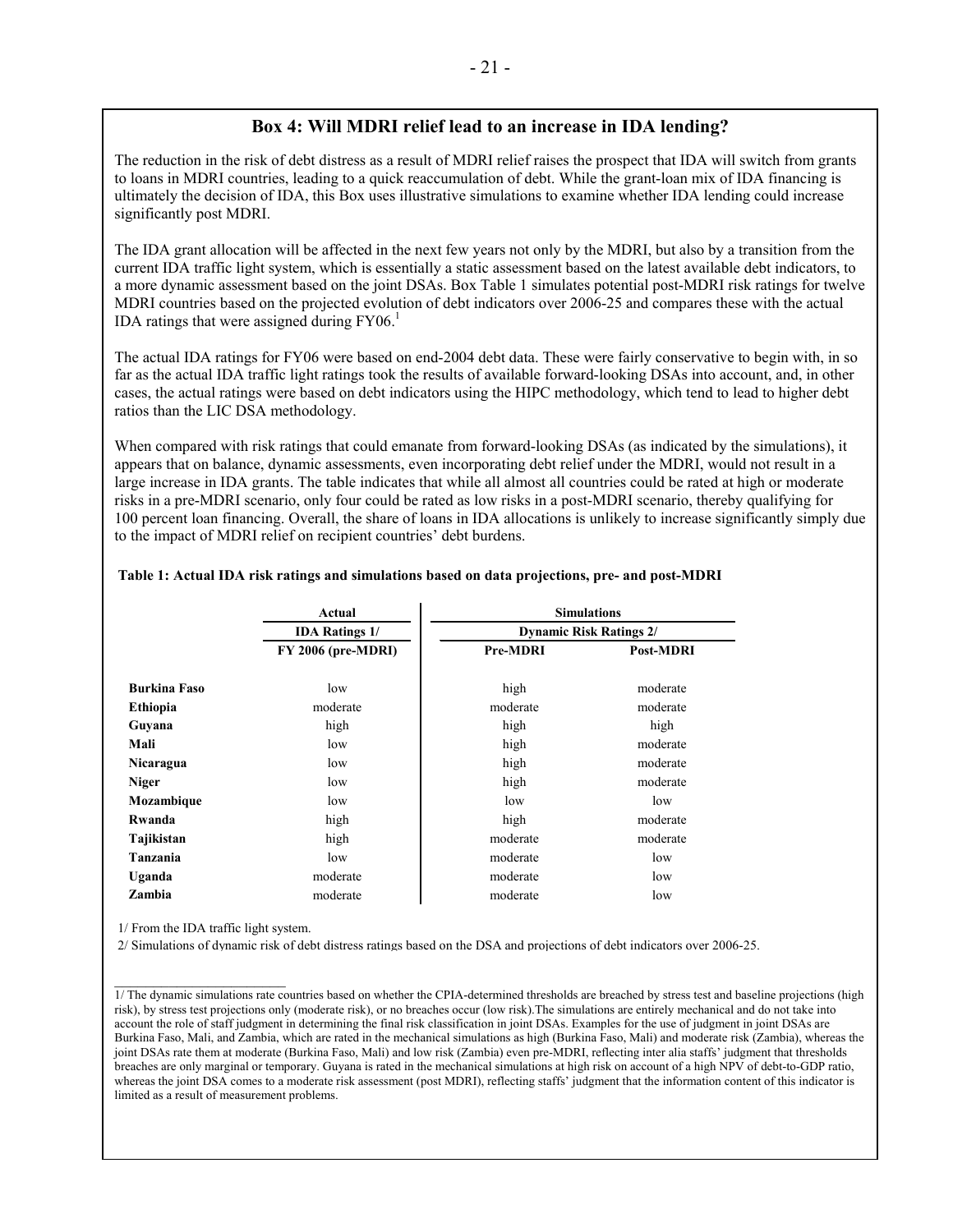## **Box 4: Will MDRI relief lead to an increase in IDA lending?**

The reduction in the risk of debt distress as a result of MDRI relief raises the prospect that IDA will switch from grants to loans in MDRI countries, leading to a quick reaccumulation of debt. While the grant-loan mix of IDA financing is ultimately the decision of IDA, this Box uses illustrative simulations to examine whether IDA lending could increase significantly post MDRI.

The IDA grant allocation will be affected in the next few years not only by the MDRI, but also by a transition from the current IDA traffic light system, which is essentially a static assessment based on the latest available debt indicators, to a more dynamic assessment based on the joint DSAs. Box Table 1 simulates potential post-MDRI risk ratings for twelve MDRI countries based on the projected evolution of debt indicators over 2006-25 and compares these with the actual IDA ratings that were assigned during  $FY06<sup>1</sup>$ 

The actual IDA ratings for FY06 were based on end-2004 debt data. These were fairly conservative to begin with, in so far as the actual IDA traffic light ratings took the results of available forward-looking DSAs into account, and, in other cases, the actual ratings were based on debt indicators using the HIPC methodology, which tend to lead to higher debt ratios than the LIC DSA methodology.

When compared with risk ratings that could emanate from forward-looking DSAs (as indicated by the simulations), it appears that on balance, dynamic assessments, even incorporating debt relief under the MDRI, would not result in a large increase in IDA grants. The table indicates that while all almost all countries could be rated at high or moderate risks in a pre-MDRI scenario, only four could be rated as low risks in a post-MDRI scenario, thereby qualifying for 100 percent loan financing. Overall, the share of loans in IDA allocations is unlikely to increase significantly simply due to the impact of MDRI relief on recipient countries' debt burdens.

|                     | Actual                | <b>Simulations</b>             |                  |  |  |  |
|---------------------|-----------------------|--------------------------------|------------------|--|--|--|
|                     | <b>IDA Ratings 1/</b> | <b>Dynamic Risk Ratings 2/</b> |                  |  |  |  |
|                     | FY 2006 (pre-MDRI)    | Pre-MDRI                       | <b>Post-MDRI</b> |  |  |  |
| <b>Burkina Faso</b> | low                   | high                           | moderate         |  |  |  |
| Ethiopia            | moderate              | moderate                       | moderate         |  |  |  |
| Guyana              | high                  | high                           | high             |  |  |  |
| Mali                | low                   | high                           | moderate         |  |  |  |
| Nicaragua           | low                   | high                           | moderate         |  |  |  |
| <b>Niger</b>        | low                   | high                           | moderate         |  |  |  |
| Mozambique          | low                   | low                            | low              |  |  |  |
| Rwanda              | high                  | high                           | moderate         |  |  |  |
| Tajikistan          | high                  | moderate                       | moderate         |  |  |  |
| Tanzania            | low                   | moderate                       | low              |  |  |  |
| Uganda              | moderate              | moderate                       | low              |  |  |  |
| Zambia              | moderate              | moderate                       | low              |  |  |  |

### **Table 1: Actual IDA risk ratings and simulations based on data projections, pre- and post-MDRI**

1/ From the IDA traffic light system.

֧֪ׅ֞֝֬֝֬֝֬֝֬֝֬֝

2/ Simulations of dynamic risk of debt distress ratings based on the DSA and projections of debt indicators over 2006-25.

<sup>1/</sup> The dynamic simulations rate countries based on whether the CPIA-determined thresholds are breached by stress test and baseline projections (high risk), by stress test projections only (moderate risk), or no breaches occur (low risk).The simulations are entirely mechanical and do not take into account the role of staff judgment in determining the final risk classification in joint DSAs. Examples for the use of judgment in joint DSAs are Burkina Faso, Mali, and Zambia, which are rated in the mechanical simulations as high (Burkina Faso, Mali) and moderate risk (Zambia), whereas the joint DSAs rate them at moderate (Burkina Faso, Mali) and low risk (Zambia) even pre-MDRI, reflecting inter alia staffs' judgment that thresholds breaches are only marginal or temporary. Guyana is rated in the mechanical simulations at high risk on account of a high NPV of debt-to-GDP ratio, whereas the joint DSA comes to a moderate risk assessment (post MDRI), reflecting staffs' judgment that the information content of this indicator is limited as a result of measurement problems.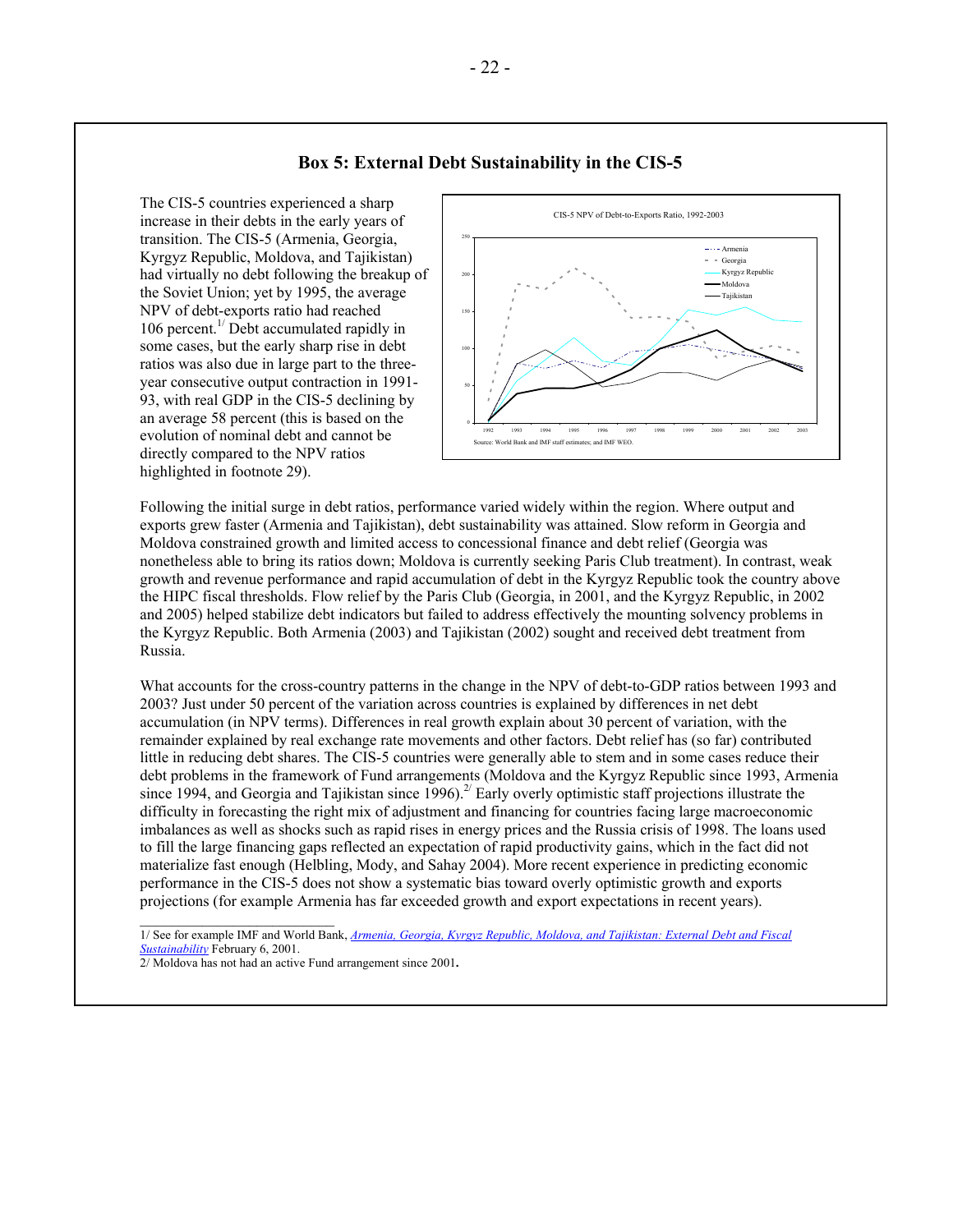### **Box 5: External Debt Sustainability in the CIS-5**

The CIS-5 countries experienced a sharp increase in their debts in the early years of transition. The CIS-5 (Armenia, Georgia, Kyrgyz Republic, Moldova, and Tajikistan) had virtually no debt following the breakup of the Soviet Union; yet by 1995, the average NPV of debt-exports ratio had reached 106 percent.<sup> $1/$ </sup> Debt accumulated rapidly in some cases, but the early sharp rise in debt ratios was also due in large part to the threeyear consecutive output contraction in 1991- 93, with real GDP in the CIS-5 declining by an average 58 percent (this is based on the evolution of nominal debt and cannot be directly compared to the NPV ratios highlighted in footnote 29).



Following the initial surge in debt ratios, performance varied widely within the region. Where output and exports grew faster (Armenia and Tajikistan), debt sustainability was attained. Slow reform in Georgia and Moldova constrained growth and limited access to concessional finance and debt relief (Georgia was nonetheless able to bring its ratios down; Moldova is currently seeking Paris Club treatment). In contrast, weak growth and revenue performance and rapid accumulation of debt in the Kyrgyz Republic took the country above the HIPC fiscal thresholds. Flow relief by the Paris Club (Georgia, in 2001, and the Kyrgyz Republic, in 2002 and 2005) helped stabilize debt indicators but failed to address effectively the mounting solvency problems in the Kyrgyz Republic. Both Armenia (2003) and Tajikistan (2002) sought and received debt treatment from Russia.

What accounts for the cross-country patterns in the change in the NPV of debt-to-GDP ratios between 1993 and 2003? Just under 50 percent of the variation across countries is explained by differences in net debt accumulation (in NPV terms). Differences in real growth explain about 30 percent of variation, with the remainder explained by real exchange rate movements and other factors. Debt relief has (so far) contributed little in reducing debt shares. The CIS-5 countries were generally able to stem and in some cases reduce their debt problems in the framework of Fund arrangements (Moldova and the Kyrgyz Republic since 1993, Armenia since 1994, and Georgia and Tajikistan since  $1996$ .<sup>2/</sup> Early overly optimistic staff projections illustrate the difficulty in forecasting the right mix of adjustment and financing for countries facing large macroeconomic imbalances as well as shocks such as rapid rises in energy prices and the Russia crisis of 1998. The loans used to fill the large financing gaps reflected an expectation of rapid productivity gains, which in the fact did not materialize fast enough (Helbling, Mody, and Sahay 2004). More recent experience in predicting economic performance in the CIS-5 does not show a systematic bias toward overly optimistic growth and exports projections (for example Armenia has far exceeded growth and export expectations in recent years).

1/ See for example IMF and World Bank, *[Armenia, Georgia, Kyrgyz Republic, Moldova, and Tajikistan: External Debt and Fiscal](http://www.imf.org/external/np/eu2/2001/edebt/eng/index.htm)  [Sustainability](http://www.imf.org/external/np/eu2/2001/edebt/eng/index.htm)* February 6, 2001.

 $\frac{1}{2}$  ,  $\frac{1}{2}$  ,  $\frac{1}{2}$  ,  $\frac{1}{2}$  ,  $\frac{1}{2}$  ,  $\frac{1}{2}$  ,  $\frac{1}{2}$  ,  $\frac{1}{2}$  ,  $\frac{1}{2}$  ,  $\frac{1}{2}$  ,  $\frac{1}{2}$  ,  $\frac{1}{2}$  ,  $\frac{1}{2}$  ,  $\frac{1}{2}$  ,  $\frac{1}{2}$  ,  $\frac{1}{2}$  ,  $\frac{1}{2}$  ,  $\frac{1}{2}$  ,  $\frac{1$ 

<sup>2/</sup> Moldova has not had an active Fund arrangement since 2001**.**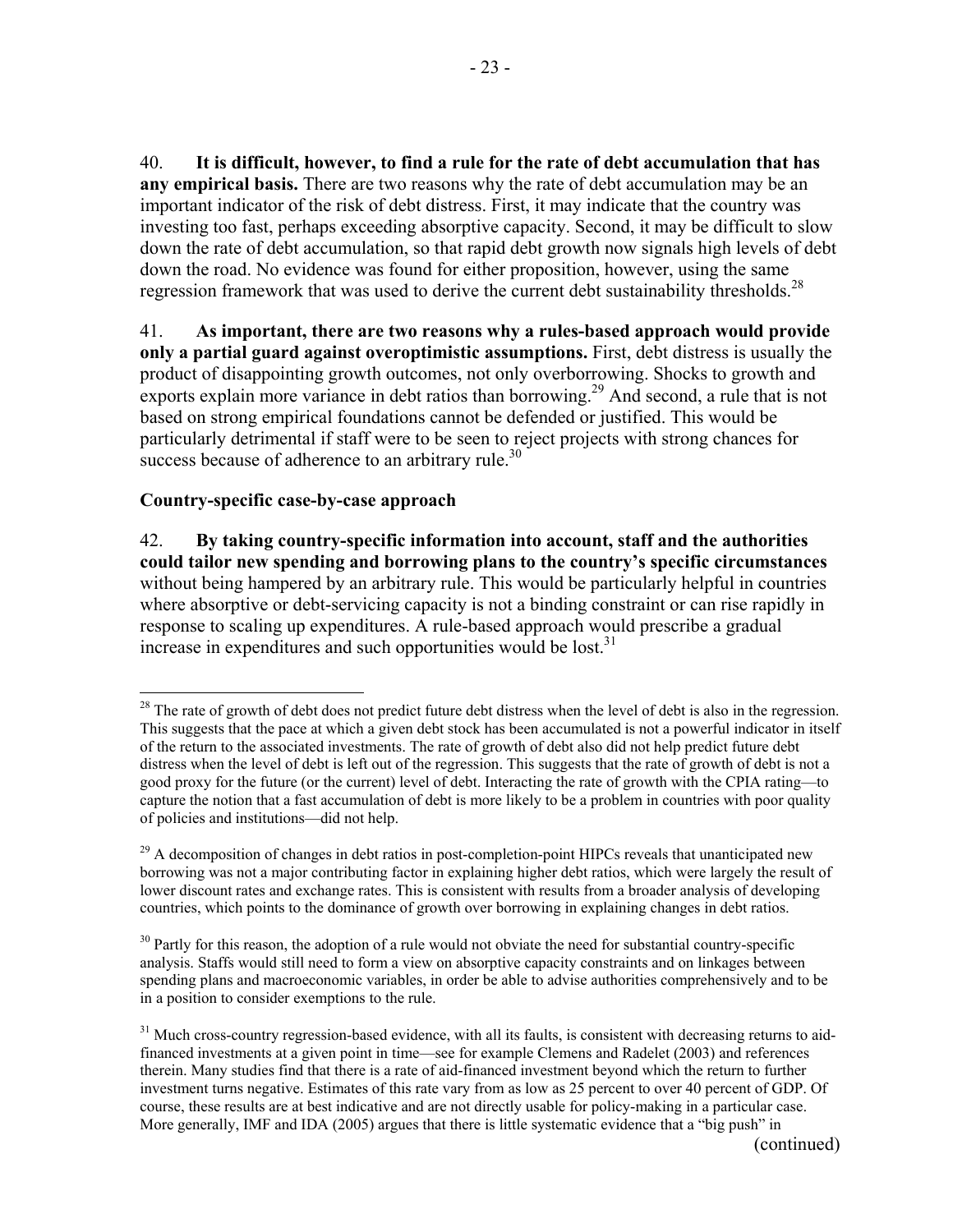40. **It is difficult, however, to find a rule for the rate of debt accumulation that has any empirical basis.** There are two reasons why the rate of debt accumulation may be an important indicator of the risk of debt distress. First, it may indicate that the country was investing too fast, perhaps exceeding absorptive capacity. Second, it may be difficult to slow down the rate of debt accumulation, so that rapid debt growth now signals high levels of debt down the road. No evidence was found for either proposition, however, using the same regression framework that was used to derive the current debt sustainability thresholds.<sup>28</sup>

41. **As important, there are two reasons why a rules-based approach would provide only a partial guard against overoptimistic assumptions.** First, debt distress is usually the product of disappointing growth outcomes, not only overborrowing. Shocks to growth and exports explain more variance in debt ratios than borrowing.<sup>29</sup> And second, a rule that is not based on strong empirical foundations cannot be defended or justified. This would be particularly detrimental if staff were to be seen to reject projects with strong chances for success because of adherence to an arbitrary rule.<sup>30</sup>

## **Country-specific case-by-case approach**

 $\overline{a}$ 

-23 -

42. **By taking country-specific information into account, staff and the authorities could tailor new spending and borrowing plans to the country's specific circumstances** without being hampered by an arbitrary rule. This would be particularly helpful in countries where absorptive or debt-servicing capacity is not a binding constraint or can rise rapidly in response to scaling up expenditures. A rule-based approach would prescribe a gradual increase in expenditures and such opportunities would be lost.<sup>31</sup>

 $28$  The rate of growth of debt does not predict future debt distress when the level of debt is also in the regression. This suggests that the pace at which a given debt stock has been accumulated is not a powerful indicator in itself of the return to the associated investments. The rate of growth of debt also did not help predict future debt distress when the level of debt is left out of the regression. This suggests that the rate of growth of debt is not a good proxy for the future (or the current) level of debt. Interacting the rate of growth with the CPIA rating—to capture the notion that a fast accumulation of debt is more likely to be a problem in countries with poor quality of policies and institutions—did not help.

<sup>&</sup>lt;sup>29</sup> A decomposition of changes in debt ratios in post-completion-point HIPCs reveals that unanticipated new borrowing was not a major contributing factor in explaining higher debt ratios, which were largely the result of lower discount rates and exchange rates. This is consistent with results from a broader analysis of developing countries, which points to the dominance of growth over borrowing in explaining changes in debt ratios.

<sup>&</sup>lt;sup>30</sup> Partly for this reason, the adoption of a rule would not obviate the need for substantial country-specific analysis. Staffs would still need to form a view on absorptive capacity constraints and on linkages between spending plans and macroeconomic variables, in order be able to advise authorities comprehensively and to be in a position to consider exemptions to the rule.

 $31$  Much cross-country regression-based evidence, with all its faults, is consistent with decreasing returns to aidfinanced investments at a given point in time—see for example Clemens and Radelet (2003) and references therein. Many studies find that there is a rate of aid-financed investment beyond which the return to further investment turns negative. Estimates of this rate vary from as low as 25 percent to over 40 percent of GDP. Of course, these results are at best indicative and are not directly usable for policy-making in a particular case. More generally, IMF and IDA (2005) argues that there is little systematic evidence that a "big push" in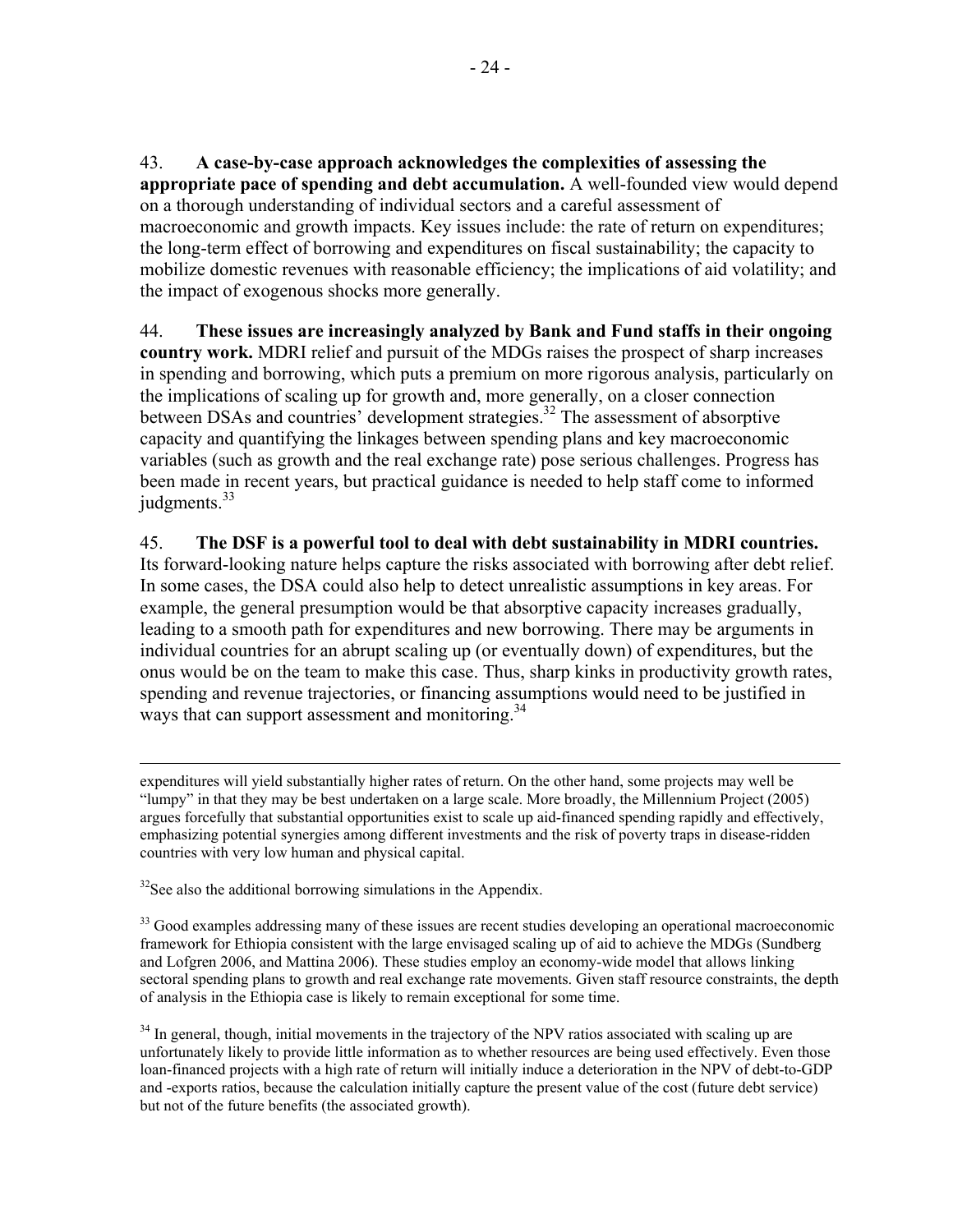43. **A case-by-case approach acknowledges the complexities of assessing the appropriate pace of spending and debt accumulation.** A well-founded view would depend on a thorough understanding of individual sectors and a careful assessment of macroeconomic and growth impacts. Key issues include: the rate of return on expenditures; the long-term effect of borrowing and expenditures on fiscal sustainability; the capacity to mobilize domestic revenues with reasonable efficiency; the implications of aid volatility; and the impact of exogenous shocks more generally.

44. **These issues are increasingly analyzed by Bank and Fund staffs in their ongoing country work.** MDRI relief and pursuit of the MDGs raises the prospect of sharp increases in spending and borrowing, which puts a premium on more rigorous analysis, particularly on the implications of scaling up for growth and, more generally, on a closer connection between DSAs and countries' development strategies.<sup>32</sup> The assessment of absorptive capacity and quantifying the linkages between spending plans and key macroeconomic variables (such as growth and the real exchange rate) pose serious challenges. Progress has been made in recent years, but practical guidance is needed to help staff come to informed judgments.<sup>33</sup>

## 45. **The DSF is a powerful tool to deal with debt sustainability in MDRI countries.**

Its forward-looking nature helps capture the risks associated with borrowing after debt relief. In some cases, the DSA could also help to detect unrealistic assumptions in key areas. For example, the general presumption would be that absorptive capacity increases gradually, leading to a smooth path for expenditures and new borrowing. There may be arguments in individual countries for an abrupt scaling up (or eventually down) of expenditures, but the onus would be on the team to make this case. Thus, sharp kinks in productivity growth rates, spending and revenue trajectories, or financing assumptions would need to be justified in ways that can support assessment and monitoring.<sup>34</sup>

 expenditures will yield substantially higher rates of return. On the other hand, some projects may well be "lumpy" in that they may be best undertaken on a large scale. More broadly, the Millennium Project (2005) argues forcefully that substantial opportunities exist to scale up aid-financed spending rapidly and effectively, emphasizing potential synergies among different investments and the risk of poverty traps in disease-ridden countries with very low human and physical capital.

 $32$ See also the additional borrowing simulations in the Appendix.

<sup>33</sup> Good examples addressing many of these issues are recent studies developing an operational macroeconomic framework for Ethiopia consistent with the large envisaged scaling up of aid to achieve the MDGs (Sundberg and Lofgren 2006, and Mattina 2006). These studies employ an economy-wide model that allows linking sectoral spending plans to growth and real exchange rate movements. Given staff resource constraints, the depth of analysis in the Ethiopia case is likely to remain exceptional for some time.

<sup>34</sup> In general, though, initial movements in the trajectory of the NPV ratios associated with scaling up are unfortunately likely to provide little information as to whether resources are being used effectively. Even those loan-financed projects with a high rate of return will initially induce a deterioration in the NPV of debt-to-GDP and -exports ratios, because the calculation initially capture the present value of the cost (future debt service) but not of the future benefits (the associated growth).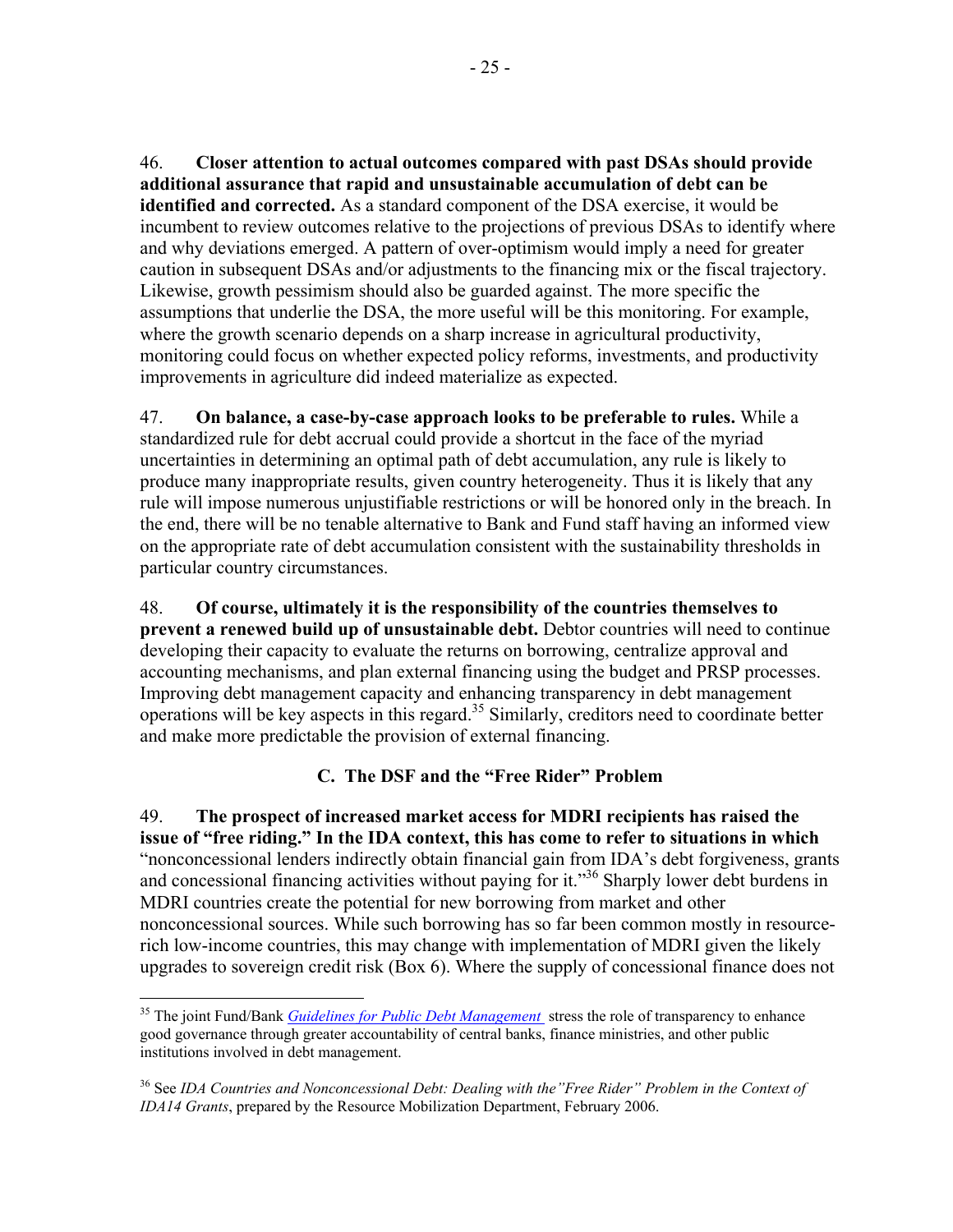46. **Closer attention to actual outcomes compared with past DSAs should provide additional assurance that rapid and unsustainable accumulation of debt can be identified and corrected.** As a standard component of the DSA exercise, it would be incumbent to review outcomes relative to the projections of previous DSAs to identify where and why deviations emerged. A pattern of over-optimism would imply a need for greater caution in subsequent DSAs and/or adjustments to the financing mix or the fiscal trajectory. Likewise, growth pessimism should also be guarded against. The more specific the assumptions that underlie the DSA, the more useful will be this monitoring. For example, where the growth scenario depends on a sharp increase in agricultural productivity, monitoring could focus on whether expected policy reforms, investments, and productivity improvements in agriculture did indeed materialize as expected.

47. **On balance, a case-by-case approach looks to be preferable to rules.** While a standardized rule for debt accrual could provide a shortcut in the face of the myriad uncertainties in determining an optimal path of debt accumulation, any rule is likely to produce many inappropriate results, given country heterogeneity. Thus it is likely that any rule will impose numerous unjustifiable restrictions or will be honored only in the breach. In the end, there will be no tenable alternative to Bank and Fund staff having an informed view on the appropriate rate of debt accumulation consistent with the sustainability thresholds in particular country circumstances.

48. **Of course, ultimately it is the responsibility of the countries themselves to prevent a renewed build up of unsustainable debt.** Debtor countries will need to continue developing their capacity to evaluate the returns on borrowing, centralize approval and accounting mechanisms, and plan external financing using the budget and PRSP processes. Improving debt management capacity and enhancing transparency in debt management operations will be key aspects in this regard.35 Similarly, creditors need to coordinate better and make more predictable the provision of external financing.

# **C. The DSF and the "Free Rider" Problem**

49. **The prospect of increased market access for MDRI recipients has raised the issue of "free riding." In the IDA context, this has come to refer to situations in which**  "nonconcessional lenders indirectly obtain financial gain from IDA's debt forgiveness, grants and concessional financing activities without paying for it."<sup>36</sup> Sharply lower debt burdens in MDRI countries create the potential for new borrowing from market and other nonconcessional sources. While such borrowing has so far been common mostly in resourcerich low-income countries, this may change with implementation of MDRI given the likely upgrades to sovereign credit risk (Box 6). Where the supply of concessional finance does not

 $\overline{a}$ <sup>35</sup> The joint Fund/Bank *[Guidelines for Public Debt Management](http://www.imf.org/external/np/mae/pdebt/2000/eng/index.htm)* stress the role of transparency to enhance good governance through greater accountability of central banks, finance ministries, and other public institutions involved in debt management.

<sup>36</sup> See *IDA Countries and Nonconcessional Debt: Dealing with the"Free Rider" Problem in the Context of IDA14 Grants*, prepared by the Resource Mobilization Department, February 2006.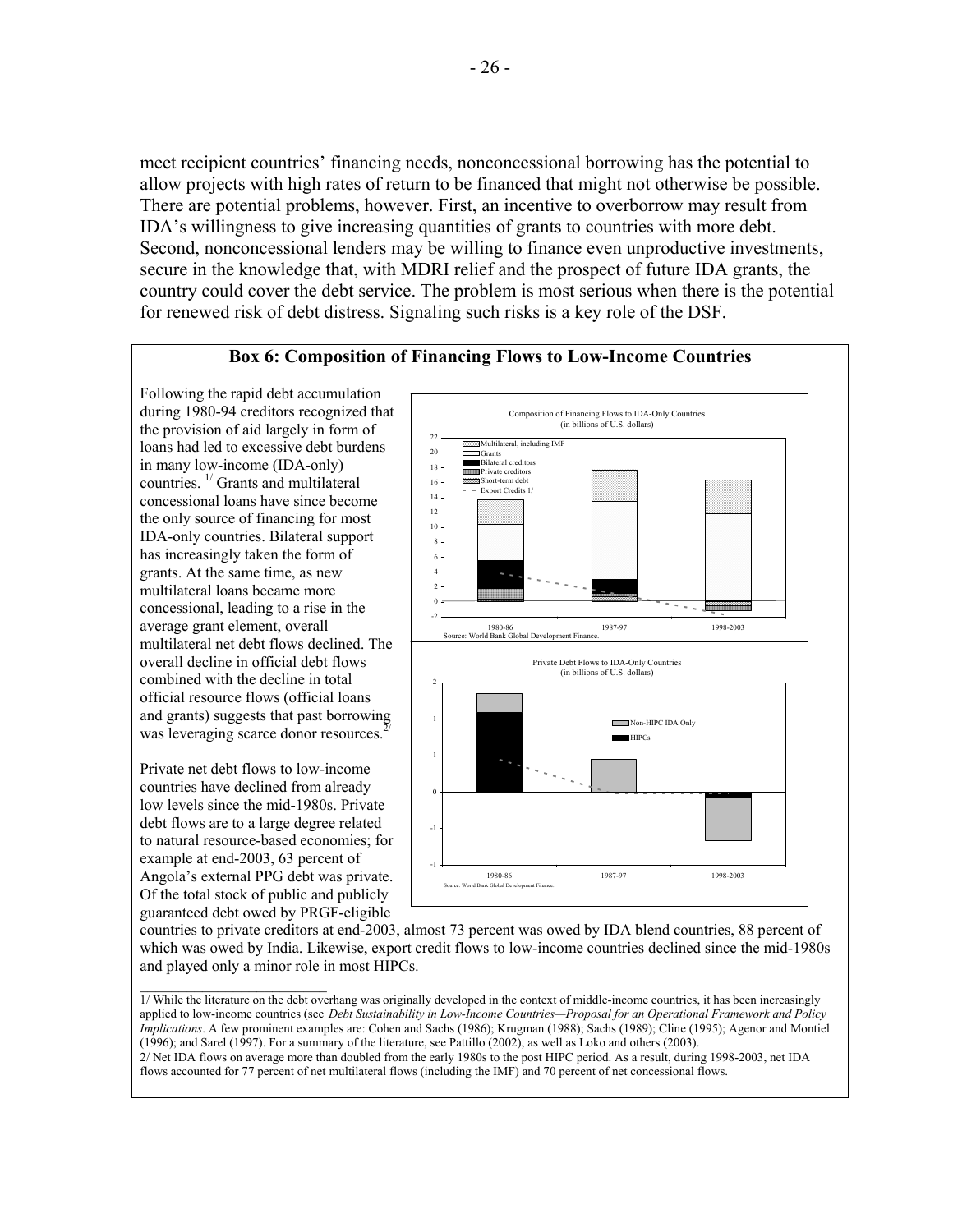meet recipient countries' financing needs, nonconcessional borrowing has the potential to allow projects with high rates of return to be financed that might not otherwise be possible. There are potential problems, however. First, an incentive to overborrow may result from IDA's willingness to give increasing quantities of grants to countries with more debt. Second, nonconcessional lenders may be willing to finance even unproductive investments, secure in the knowledge that, with MDRI relief and the prospect of future IDA grants, the country could cover the debt service. The problem is most serious when there is the potential for renewed risk of debt distress. Signaling such risks is a key role of the DSF.

### **Box 6: Composition of Financing Flows to Low-Income Countries**  Following the rapid debt accumulation during 1980-94 creditors recognized that Composition of Financing Flows to IDA-Only Countries (in billions of U.S. dollars) the provision of aid largely in form of 22 Multilateral, including IMF loans had led to excessive debt burdens 20 **Grants**  $\overline{1}$ in many low-income (IDA-only) Bilateral creditors 18 **MINION** Private creditors countries. 1/ Grants and multilateral Short-term debt 16 = Export Credits 1/ 14 concessional loans have since become 12 the only source of financing for most 10 IDA-only countries. Bilateral support 8 has increasingly taken the form of 6 grants. At the same time, as new 4 2 multilateral loans became more 0 concessional, leading to a rise in the -2 average grant element, overall 1980-86 1987-97 1998-2003 e: World Bank Global Develop multilateral net debt flows declined. The 1/ Part of overall financial flows. overall decline in official debt flows Private Debt Flows to IDA-Only Countries (in billions of U.S. dollars) combined with the decline in total official resource flows (official loans and grants) suggests that past borrowing 1 Non-HIPC IDA Only was leveraging scarce donor resources.<sup>2</sup> **HIPCs** 1 Private net debt flows to low-income countries have declined from already 0 low levels since the mid-1980s. Private debt flows are to a large degree related -1 to natural resource-based economies; for example at end-2003, 63 percent of -1

Angola's external PPG debt was private. Of the total stock of public and publicly 1980-86 1987-97 1998-2003 Source: World Bank Global Development Finance.

guaranteed debt owed by PRGF-eligible

countries to private creditors at end-2003, almost 73 percent was owed by IDA blend countries, 88 percent of which was owed by India. Likewise, export credit flows to low-income countries declined since the mid-1980s and played only a minor role in most HIPCs.

<sup>1/</sup> While the literature on the debt overhang was originally developed in the context of middle-income countries, it has been increasingly applied to low-income countries (see *Debt Sustainability in Low-Income Countries—Proposal for an Operational Framework and Policy Implications*. A few prominent examples are: Cohen and Sachs (1986); Krugman (1988); Sachs (1989); Cline (1995); Agenor and Montiel (1996); and Sarel (1997). For a summary of the literature, see Pattillo (2002), as well as Loko and others (2003).

<sup>2/</sup> Net IDA flows on average more than doubled from the early 1980s to the post HIPC period. As a result, during 1998-2003, net IDA flows accounted for 77 percent of net multilateral flows (including the IMF) and 70 percent of net concessional flows.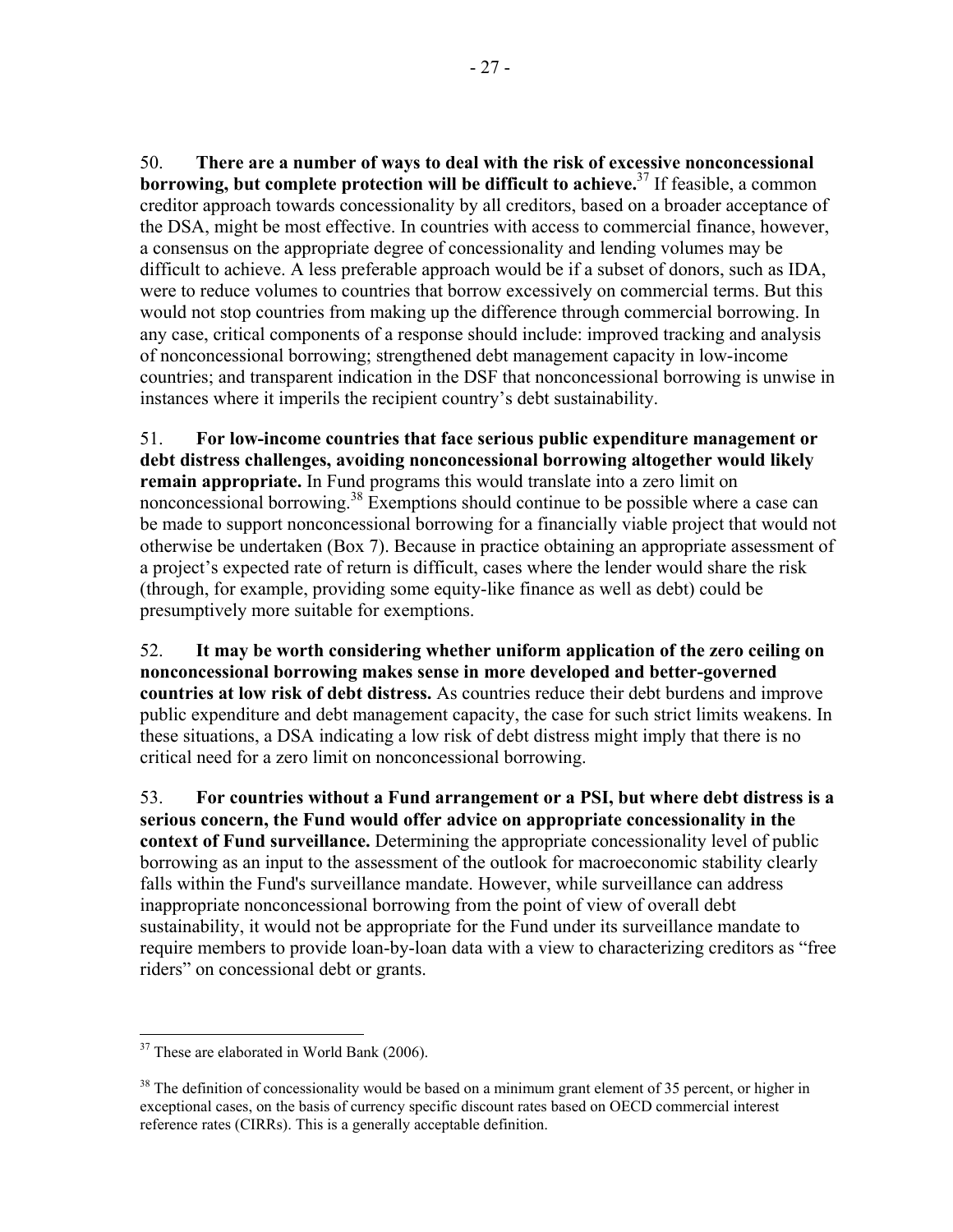50. **There are a number of ways to deal with the risk of excessive nonconcessional borrowing, but complete protection will be difficult to achieve.**37 If feasible, a common creditor approach towards concessionality by all creditors, based on a broader acceptance of the DSA, might be most effective. In countries with access to commercial finance, however, a consensus on the appropriate degree of concessionality and lending volumes may be difficult to achieve. A less preferable approach would be if a subset of donors, such as IDA, were to reduce volumes to countries that borrow excessively on commercial terms. But this would not stop countries from making up the difference through commercial borrowing. In any case, critical components of a response should include: improved tracking and analysis of nonconcessional borrowing; strengthened debt management capacity in low-income countries; and transparent indication in the DSF that nonconcessional borrowing is unwise in instances where it imperils the recipient country's debt sustainability.

51. **For low-income countries that face serious public expenditure management or debt distress challenges, avoiding nonconcessional borrowing altogether would likely remain appropriate.** In Fund programs this would translate into a zero limit on nonconcessional borrowing.<sup>38</sup> Exemptions should continue to be possible where a case can be made to support nonconcessional borrowing for a financially viable project that would not otherwise be undertaken (Box 7). Because in practice obtaining an appropriate assessment of a project's expected rate of return is difficult, cases where the lender would share the risk (through, for example, providing some equity-like finance as well as debt) could be presumptively more suitable for exemptions.

52. **It may be worth considering whether uniform application of the zero ceiling on nonconcessional borrowing makes sense in more developed and better-governed countries at low risk of debt distress.** As countries reduce their debt burdens and improve public expenditure and debt management capacity, the case for such strict limits weakens. In these situations, a DSA indicating a low risk of debt distress might imply that there is no critical need for a zero limit on nonconcessional borrowing.

53. **For countries without a Fund arrangement or a PSI, but where debt distress is a serious concern, the Fund would offer advice on appropriate concessionality in the context of Fund surveillance.** Determining the appropriate concessionality level of public borrowing as an input to the assessment of the outlook for macroeconomic stability clearly falls within the Fund's surveillance mandate. However, while surveillance can address inappropriate nonconcessional borrowing from the point of view of overall debt sustainability, it would not be appropriate for the Fund under its surveillance mandate to require members to provide loan-by-loan data with a view to characterizing creditors as "free riders" on concessional debt or grants.

 $\overline{a}$  $37$  These are elaborated in World Bank (2006).

 $38$  The definition of concessionality would be based on a minimum grant element of 35 percent, or higher in exceptional cases, on the basis of currency specific discount rates based on OECD commercial interest reference rates (CIRRs). This is a generally acceptable definition.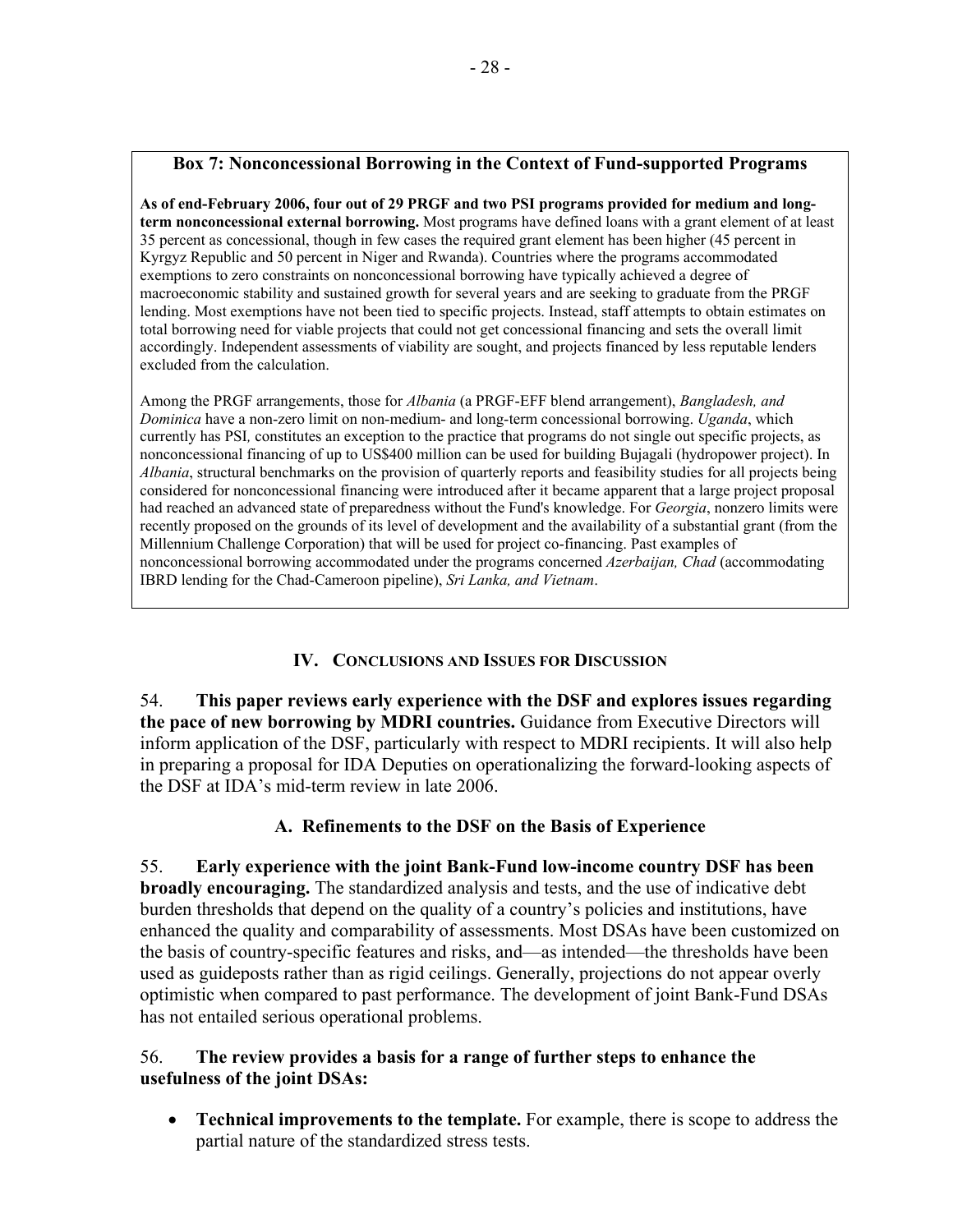## **Box 7: Nonconcessional Borrowing in the Context of Fund-supported Programs**

**As of end-February 2006, four out of 29 PRGF and two PSI programs provided for medium and longterm nonconcessional external borrowing.** Most programs have defined loans with a grant element of at least 35 percent as concessional, though in few cases the required grant element has been higher (45 percent in Kyrgyz Republic and 50 percent in Niger and Rwanda). Countries where the programs accommodated exemptions to zero constraints on nonconcessional borrowing have typically achieved a degree of macroeconomic stability and sustained growth for several years and are seeking to graduate from the PRGF lending. Most exemptions have not been tied to specific projects. Instead, staff attempts to obtain estimates on total borrowing need for viable projects that could not get concessional financing and sets the overall limit accordingly. Independent assessments of viability are sought, and projects financed by less reputable lenders excluded from the calculation.

Among the PRGF arrangements, those for *Albania* (a PRGF-EFF blend arrangement), *Bangladesh, and Dominica* have a non-zero limit on non-medium- and long-term concessional borrowing. *Uganda*, which currently has PSI*,* constitutes an exception to the practice that programs do not single out specific projects, as nonconcessional financing of up to US\$400 million can be used for building Bujagali (hydropower project). In *Albania*, structural benchmarks on the provision of quarterly reports and feasibility studies for all projects being considered for nonconcessional financing were introduced after it became apparent that a large project proposal had reached an advanced state of preparedness without the Fund's knowledge. For *Georgia*, nonzero limits were recently proposed on the grounds of its level of development and the availability of a substantial grant (from the Millennium Challenge Corporation) that will be used for project co-financing. Past examples of nonconcessional borrowing accommodated under the programs concerned *Azerbaijan, Chad* (accommodating IBRD lending for the Chad-Cameroon pipeline), *Sri Lanka, and Vietnam*.

## **IV. CONCLUSIONS AND ISSUES FOR DISCUSSION**

54. **This paper reviews early experience with the DSF and explores issues regarding the pace of new borrowing by MDRI countries.** Guidance from Executive Directors will inform application of the DSF, particularly with respect to MDRI recipients. It will also help in preparing a proposal for IDA Deputies on operationalizing the forward-looking aspects of the DSF at IDA's mid-term review in late 2006.

## **A. Refinements to the DSF on the Basis of Experience**

55. **Early experience with the joint Bank-Fund low-income country DSF has been broadly encouraging.** The standardized analysis and tests, and the use of indicative debt burden thresholds that depend on the quality of a country's policies and institutions, have enhanced the quality and comparability of assessments. Most DSAs have been customized on the basis of country-specific features and risks, and—as intended—the thresholds have been used as guideposts rather than as rigid ceilings. Generally, projections do not appear overly optimistic when compared to past performance. The development of joint Bank-Fund DSAs has not entailed serious operational problems.

## 56. **The review provides a basis for a range of further steps to enhance the usefulness of the joint DSAs:**

• **Technical improvements to the template.** For example, there is scope to address the partial nature of the standardized stress tests.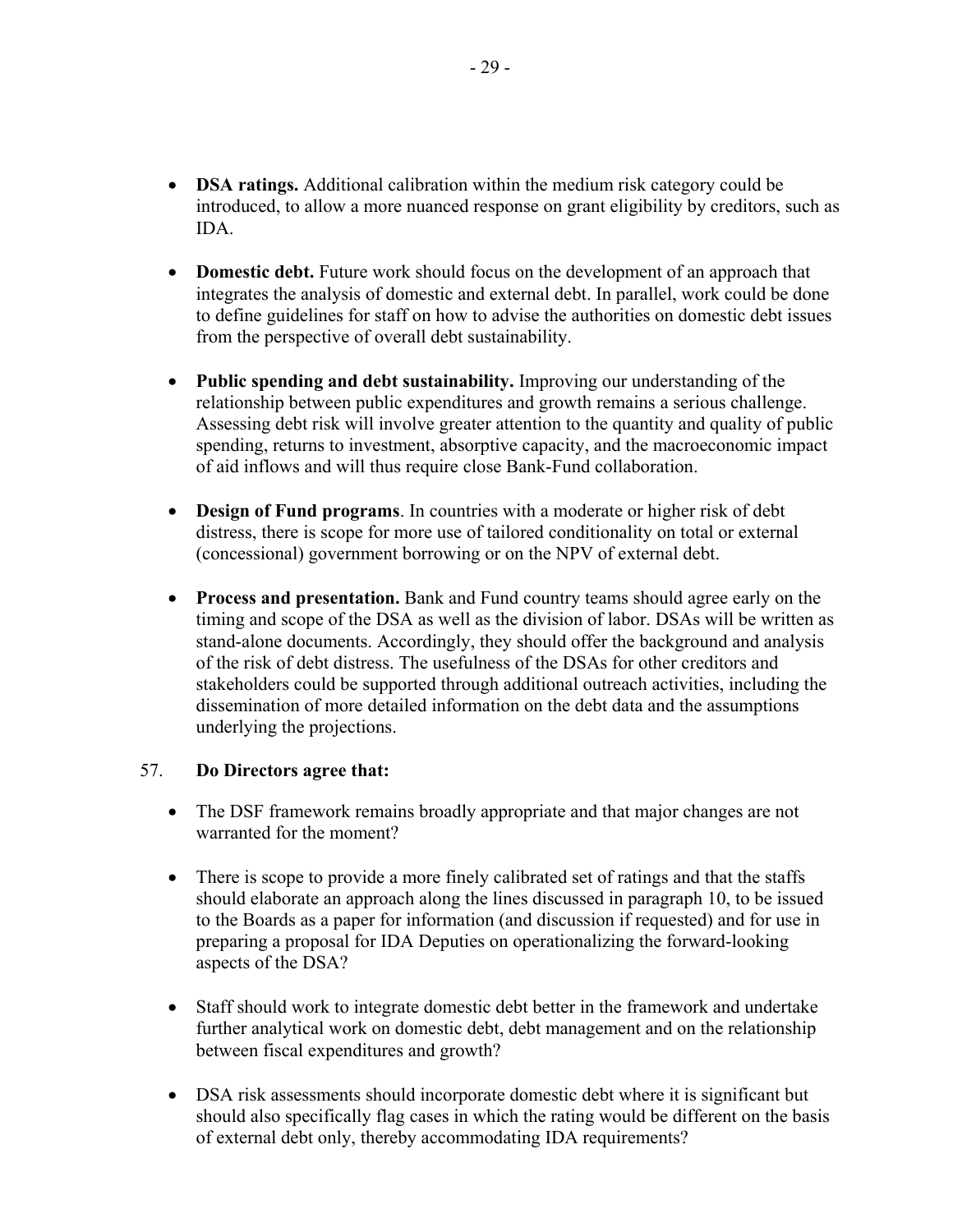- **DSA ratings.** Additional calibration within the medium risk category could be introduced, to allow a more nuanced response on grant eligibility by creditors, such as IDA.
- **Domestic debt.** Future work should focus on the development of an approach that integrates the analysis of domestic and external debt. In parallel, work could be done to define guidelines for staff on how to advise the authorities on domestic debt issues from the perspective of overall debt sustainability.
- **Public spending and debt sustainability.** Improving our understanding of the relationship between public expenditures and growth remains a serious challenge. Assessing debt risk will involve greater attention to the quantity and quality of public spending, returns to investment, absorptive capacity, and the macroeconomic impact of aid inflows and will thus require close Bank-Fund collaboration.
- **Design of Fund programs**. In countries with a moderate or higher risk of debt distress, there is scope for more use of tailored conditionality on total or external (concessional) government borrowing or on the NPV of external debt.
- **Process and presentation.** Bank and Fund country teams should agree early on the timing and scope of the DSA as well as the division of labor. DSAs will be written as stand-alone documents. Accordingly, they should offer the background and analysis of the risk of debt distress. The usefulness of the DSAs for other creditors and stakeholders could be supported through additional outreach activities, including the dissemination of more detailed information on the debt data and the assumptions underlying the projections.

## 57. **Do Directors agree that:**

- The DSF framework remains broadly appropriate and that major changes are not warranted for the moment?
- There is scope to provide a more finely calibrated set of ratings and that the staffs should elaborate an approach along the lines discussed in paragraph 10, to be issued to the Boards as a paper for information (and discussion if requested) and for use in preparing a proposal for IDA Deputies on operationalizing the forward-looking aspects of the DSA?
- Staff should work to integrate domestic debt better in the framework and undertake further analytical work on domestic debt, debt management and on the relationship between fiscal expenditures and growth?
- DSA risk assessments should incorporate domestic debt where it is significant but should also specifically flag cases in which the rating would be different on the basis of external debt only, thereby accommodating IDA requirements?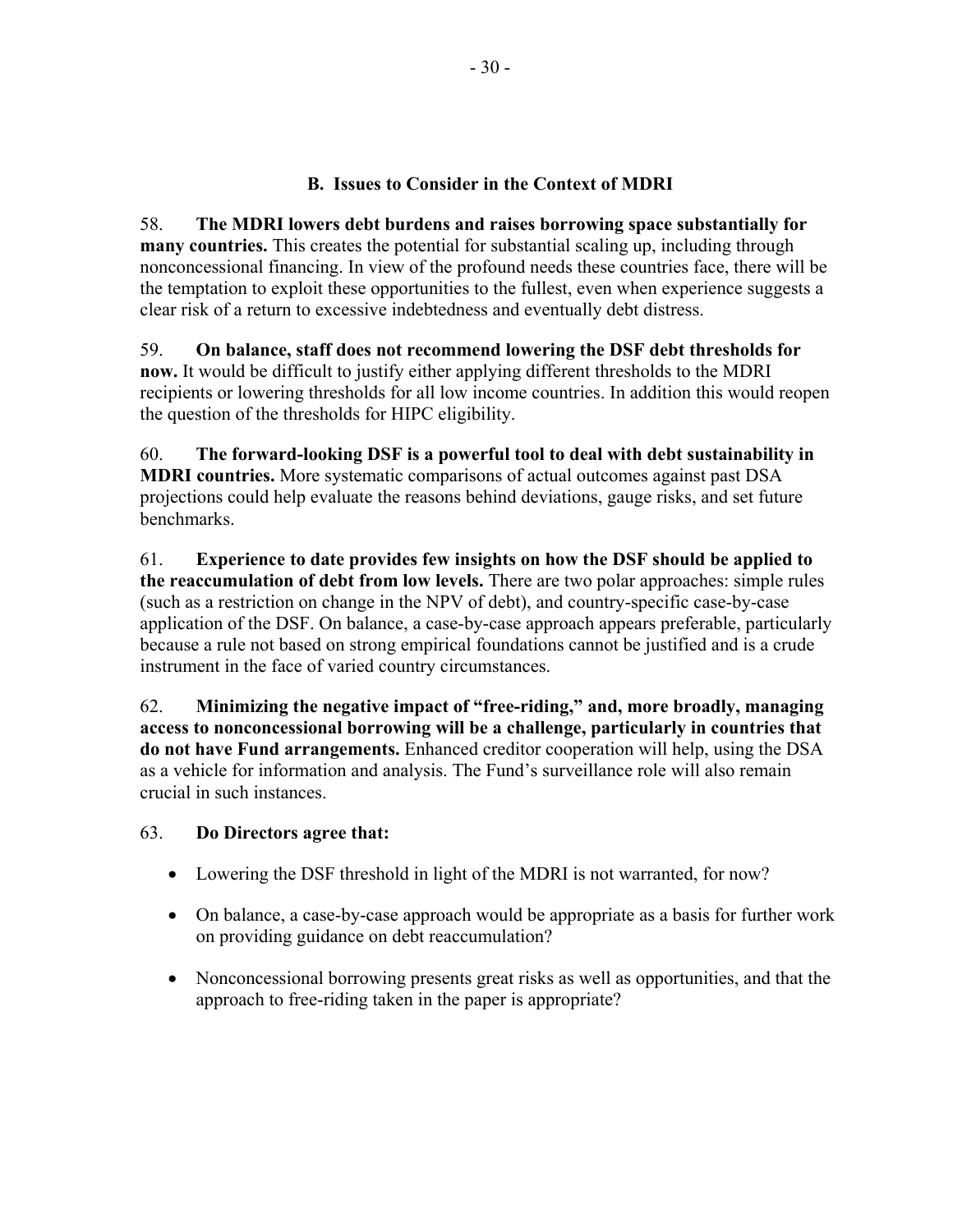## **B. Issues to Consider in the Context of MDRI**

58. **The MDRI lowers debt burdens and raises borrowing space substantially for many countries.** This creates the potential for substantial scaling up, including through nonconcessional financing. In view of the profound needs these countries face, there will be the temptation to exploit these opportunities to the fullest, even when experience suggests a clear risk of a return to excessive indebtedness and eventually debt distress.

59. **On balance, staff does not recommend lowering the DSF debt thresholds for now.** It would be difficult to justify either applying different thresholds to the MDRI recipients or lowering thresholds for all low income countries. In addition this would reopen the question of the thresholds for HIPC eligibility.

60. **The forward-looking DSF is a powerful tool to deal with debt sustainability in MDRI countries.** More systematic comparisons of actual outcomes against past DSA projections could help evaluate the reasons behind deviations, gauge risks, and set future **benchmarks** 

61. **Experience to date provides few insights on how the DSF should be applied to the reaccumulation of debt from low levels.** There are two polar approaches: simple rules (such as a restriction on change in the NPV of debt), and country-specific case-by-case application of the DSF. On balance, a case-by-case approach appears preferable, particularly because a rule not based on strong empirical foundations cannot be justified and is a crude instrument in the face of varied country circumstances.

62. **Minimizing the negative impact of "free-riding," and, more broadly, managing access to nonconcessional borrowing will be a challenge, particularly in countries that do not have Fund arrangements.** Enhanced creditor cooperation will help, using the DSA as a vehicle for information and analysis. The Fund's surveillance role will also remain crucial in such instances.

## 63. **Do Directors agree that:**

- Lowering the DSF threshold in light of the MDRI is not warranted, for now?
- On balance, a case-by-case approach would be appropriate as a basis for further work on providing guidance on debt reaccumulation?
- Nonconcessional borrowing presents great risks as well as opportunities, and that the approach to free-riding taken in the paper is appropriate?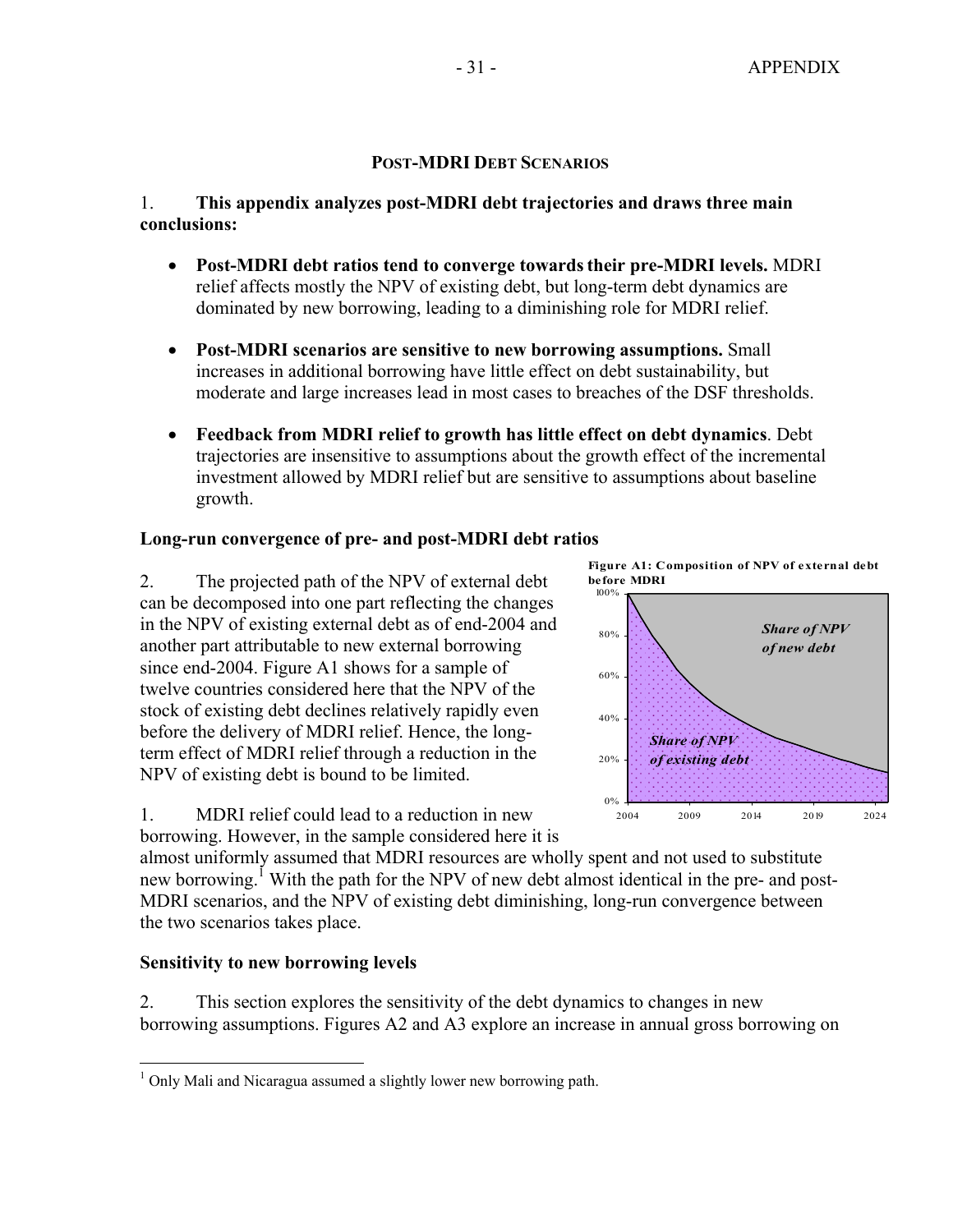## **POST-MDRI DEBT SCENARIOS**

## 1. **This appendix analyzes post-MDRI debt trajectories and draws three main conclusions:**

- **Post-MDRI debt ratios tend to converge towardstheir pre-MDRI levels.** MDRI relief affects mostly the NPV of existing debt, but long-term debt dynamics are dominated by new borrowing, leading to a diminishing role for MDRI relief.
- **Post-MDRI scenarios are sensitive to new borrowing assumptions.** Small increases in additional borrowing have little effect on debt sustainability, but moderate and large increases lead in most cases to breaches of the DSF thresholds.
- **Feedback from MDRI relief to growth has little effect on debt dynamics**. Debt trajectories are insensitive to assumptions about the growth effect of the incremental investment allowed by MDRI relief but are sensitive to assumptions about baseline growth.

## **Long-run convergence of pre- and post-MDRI debt ratios**

2. The projected path of the NPV of external debt can be decomposed into one part reflecting the changes in the NPV of existing external debt as of end-2004 and another part attributable to new external borrowing since end-2004. Figure A1 shows for a sample of twelve countries considered here that the NPV of the stock of existing debt declines relatively rapidly even before the delivery of MDRI relief. Hence, the longterm effect of MDRI relief through a reduction in the NPV of existing debt is bound to be limited.



*Share of NPV of existing debt*

**Figure A1: Composition of NPV of external debt** 

2004 2009 2014 2019 2024

1. MDRI relief could lead to a reduction in new borrowing. However, in the sample considered here it is

almost uniformly assumed that MDRI resources are wholly spent and not used to substitute new borrowing.<sup>I</sup> With the path for the NPV of new debt almost identical in the pre- and post-MDRI scenarios, and the NPV of existing debt diminishing, long-run convergence between the two scenarios takes place.

0%

20%

**before MDRI**

## **Sensitivity to new borrowing levels**

2. This section explores the sensitivity of the debt dynamics to changes in new borrowing assumptions. Figures A2 and A3 explore an increase in annual gross borrowing on

 $\overline{a}$ <sup>1</sup> Only Mali and Nicaragua assumed a slightly lower new borrowing path.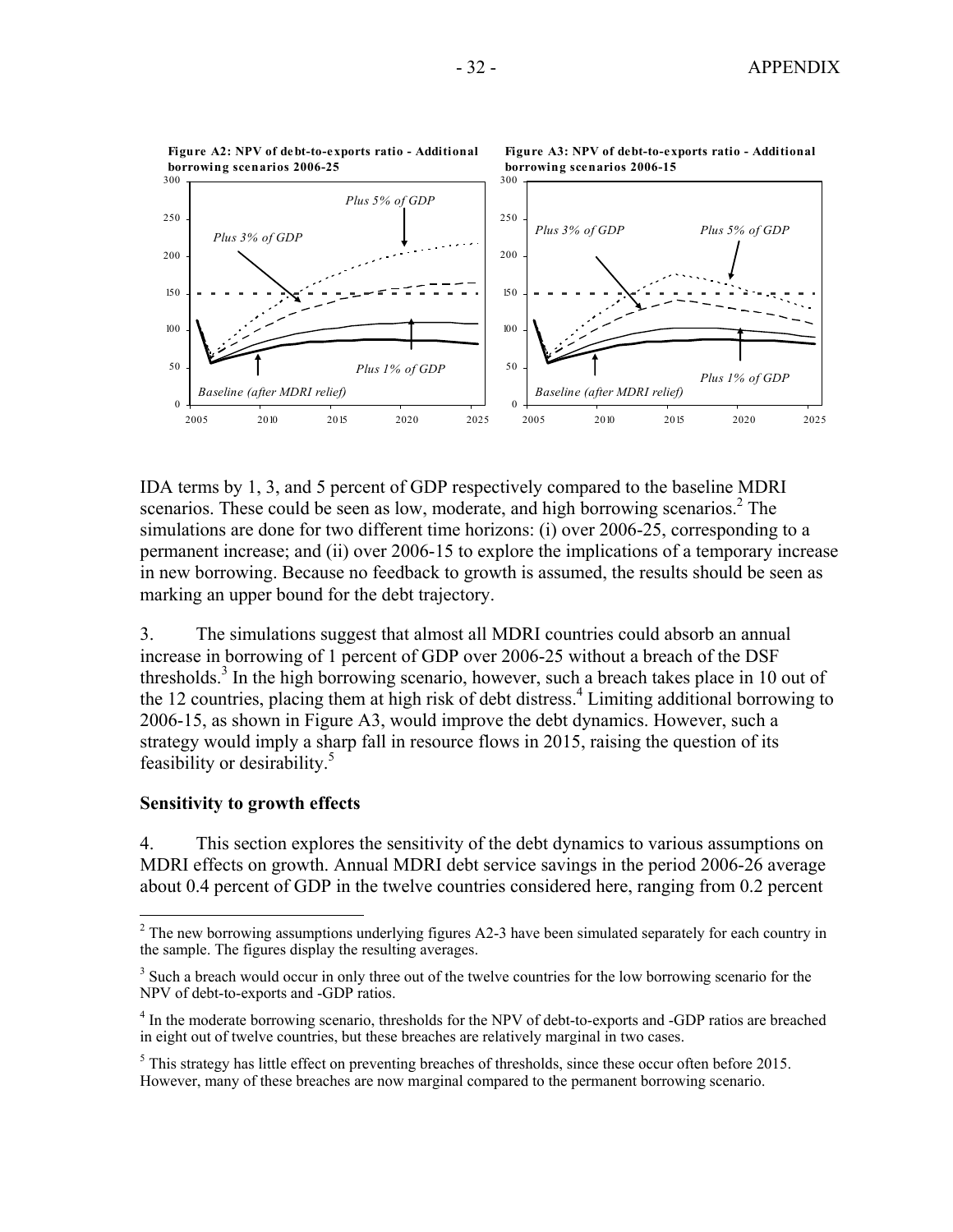

IDA terms by 1, 3, and 5 percent of GDP respectively compared to the baseline MDRI scenarios. These could be seen as low, moderate, and high borrowing scenarios.<sup>2</sup> The simulations are done for two different time horizons: (i) over 2006-25, corresponding to a permanent increase; and (ii) over 2006-15 to explore the implications of a temporary increase in new borrowing. Because no feedback to growth is assumed, the results should be seen as marking an upper bound for the debt trajectory.

3. The simulations suggest that almost all MDRI countries could absorb an annual increase in borrowing of 1 percent of GDP over 2006-25 without a breach of the DSF thresholds.<sup>3</sup> In the high borrowing scenario, however, such a breach takes place in 10 out of the 12 countries, placing them at high risk of debt distress.<sup>4</sup> Limiting additional borrowing to 2006-15, as shown in Figure A3, would improve the debt dynamics. However, such a strategy would imply a sharp fall in resource flows in 2015, raising the question of its feasibility or desirability.5

## **Sensitivity to growth effects**

1

4. This section explores the sensitivity of the debt dynamics to various assumptions on MDRI effects on growth. Annual MDRI debt service savings in the period 2006-26 average about 0.4 percent of GDP in the twelve countries considered here, ranging from 0.2 percent

 $2<sup>2</sup>$  The new borrowing assumptions underlying figures A2-3 have been simulated separately for each country in the sample. The figures display the resulting averages.

<sup>&</sup>lt;sup>3</sup> Such a breach would occur in only three out of the twelve countries for the low borrowing scenario for the NPV of debt-to-exports and -GDP ratios.

<sup>&</sup>lt;sup>4</sup> In the moderate borrowing scenario, thresholds for the NPV of debt-to-exports and -GDP ratios are breached in eight out of twelve countries, but these breaches are relatively marginal in two cases.

 $<sup>5</sup>$  This strategy has little effect on preventing breaches of thresholds, since these occur often before 2015.</sup> However, many of these breaches are now marginal compared to the permanent borrowing scenario.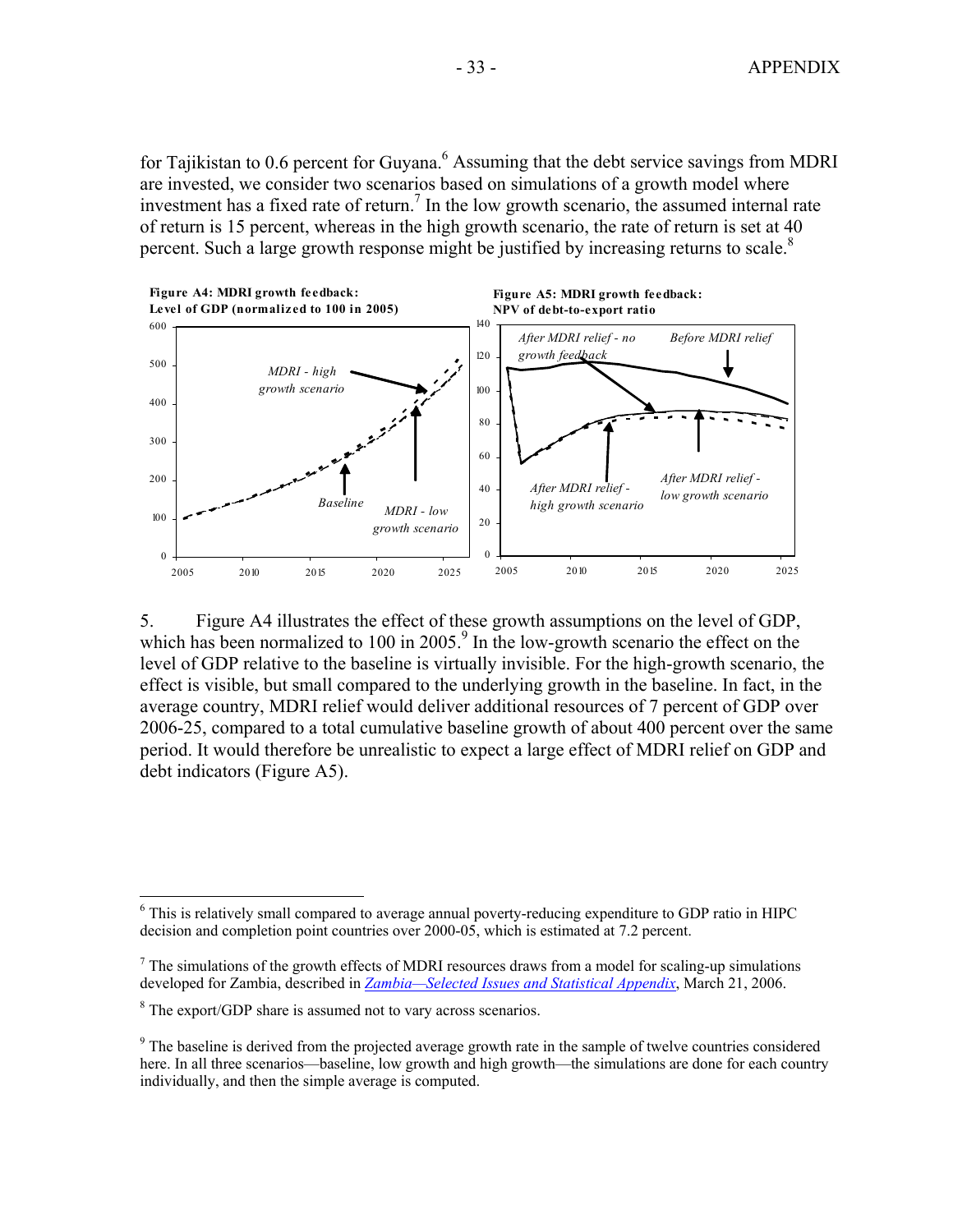for Tajikistan to 0.6 percent for Guyana. $^6$  Assuming that the debt service savings from MDRI are invested, we consider two scenarios based on simulations of a growth model where investment has a fixed rate of return.<sup>7</sup> In the low growth scenario, the assumed internal rate of return is 15 percent, whereas in the high growth scenario, the rate of return is set at 40 percent. Such a large growth response might be justified by increasing returns to scale.<sup>8</sup>



5. Figure A4 illustrates the effect of these growth assumptions on the level of GDP, which has been normalized to 100 in 2005.<sup>9</sup> In the low-growth scenario the effect on the level of GDP relative to the baseline is virtually invisible. For the high-growth scenario, the effect is visible, but small compared to the underlying growth in the baseline. In fact, in the average country, MDRI relief would deliver additional resources of 7 percent of GDP over 2006-25, compared to a total cumulative baseline growth of about 400 percent over the same period. It would therefore be unrealistic to expect a large effect of MDRI relief on GDP and debt indicators (Figure A5).

<sup>&</sup>lt;u>.</u> <sup>6</sup> This is relatively small compared to average annual poverty-reducing expenditure to GDP ratio in HIPC decision and completion point countries over 2000-05, which is estimated at 7.2 percent.

 $<sup>7</sup>$  The simulations of the growth effects of MDRI resources draws from a model for scaling-up simulations</sup> developed for Zambia, described in *[Zambia—Selected Issues and Statistical Appendix](http://www.imf.org/external/pubs/cat/longres.cfm?sk=19084.0)*, March 21, 2006.

<sup>&</sup>lt;sup>8</sup> The export/GDP share is assumed not to vary across scenarios.

<sup>&</sup>lt;sup>9</sup> The baseline is derived from the projected average growth rate in the sample of twelve countries considered here. In all three scenarios—baseline, low growth and high growth—the simulations are done for each country individually, and then the simple average is computed.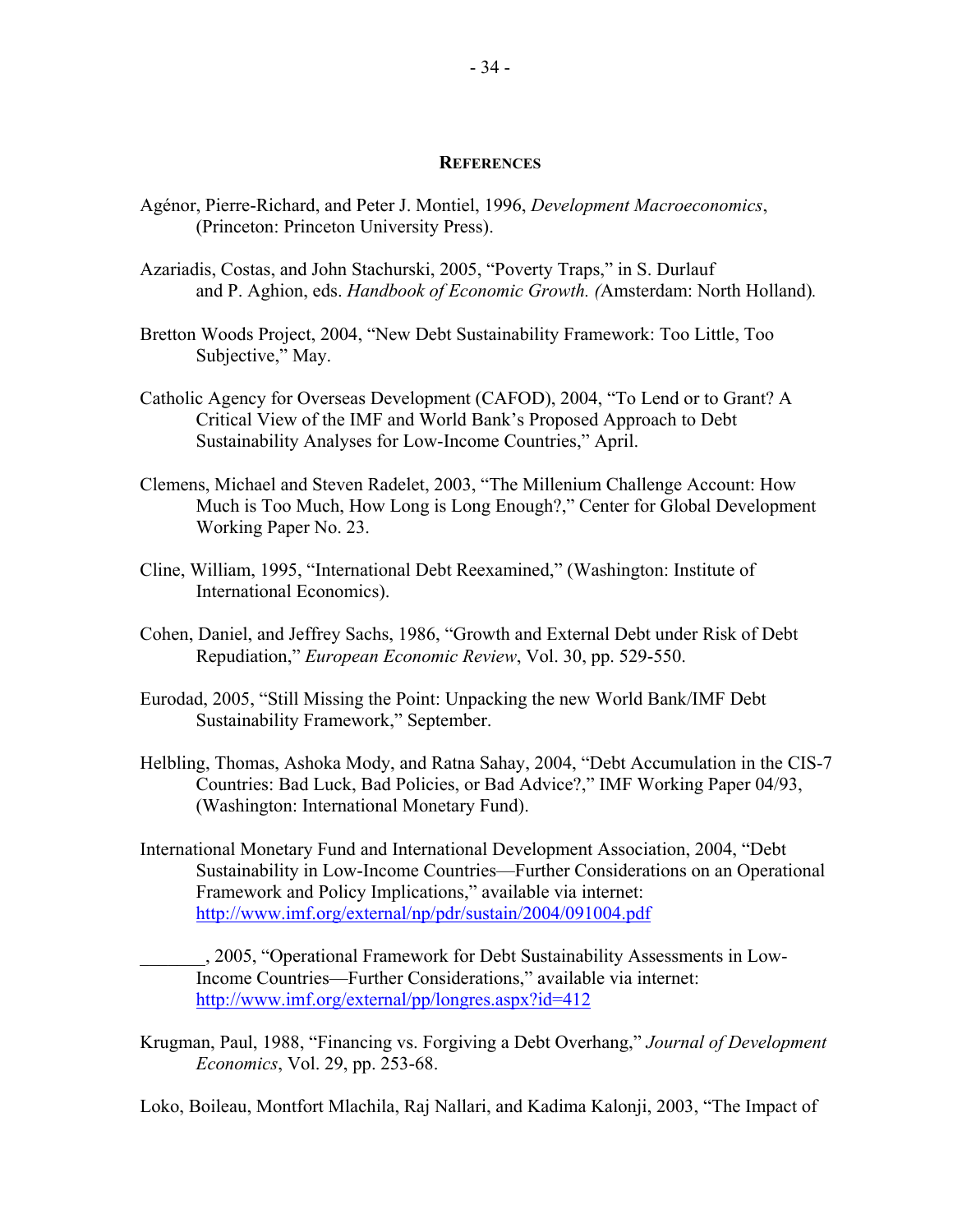### **REFERENCES**

- Agénor, Pierre-Richard, and Peter J. Montiel, 1996, *Development Macroeconomics*, (Princeton: Princeton University Press).
- Azariadis, Costas, and John Stachurski, 2005, "Poverty Traps," in S. Durlauf and P. Aghion, eds. *Handbook of Economic Growth. (*Amsterdam: North Holland)*.*
- Bretton Woods Project, 2004, "New Debt Sustainability Framework: Too Little, Too Subjective," May.
- Catholic Agency for Overseas Development (CAFOD), 2004, "To Lend or to Grant? A Critical View of the IMF and World Bank's Proposed Approach to Debt Sustainability Analyses for Low-Income Countries," April.
- Clemens, Michael and Steven Radelet, 2003, "The Millenium Challenge Account: How Much is Too Much, How Long is Long Enough?," Center for Global Development Working Paper No. 23.
- Cline, William, 1995, "International Debt Reexamined," (Washington: Institute of International Economics).
- Cohen, Daniel, and Jeffrey Sachs, 1986, "Growth and External Debt under Risk of Debt Repudiation," *European Economic Review*, Vol. 30, pp. 529-550.
- Eurodad, 2005, "Still Missing the Point: Unpacking the new World Bank/IMF Debt Sustainability Framework," September.
- Helbling, Thomas, Ashoka Mody, and Ratna Sahay, 2004, "Debt Accumulation in the CIS-7 Countries: Bad Luck, Bad Policies, or Bad Advice?," IMF Working Paper 04/93, (Washington: International Monetary Fund).
- International Monetary Fund and International Development Association, 2004, "Debt Sustainability in Low-Income Countries—Further Considerations on an Operational Framework and Policy Implications," available via internet: <http://www.imf.org/external/np/pdr/sustain/2004/091004.pdf>

\_\_\_\_\_\_\_, 2005, "Operational Framework for Debt Sustainability Assessments in Low-Income Countries—Further Considerations," available via internet: <http://www.imf.org/external/pp/longres.aspx?id=412>

Krugman, Paul, 1988, "Financing vs. Forgiving a Debt Overhang," *Journal of Development Economics*, Vol. 29, pp. 253-68.

Loko, Boileau, Montfort Mlachila, Raj Nallari, and Kadima Kalonji, 2003, "The Impact of